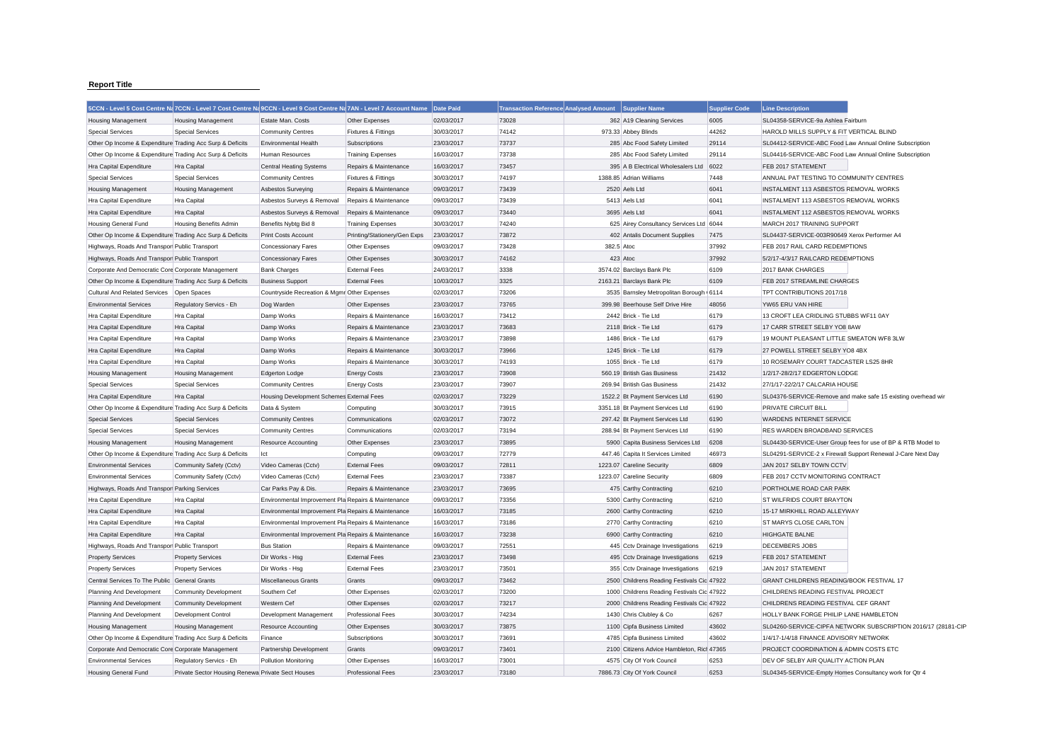## **Report Title**

|                                                           |                                                   | 5CCN - Level 5 Cost Centre Na 7CCN - Level 7 Cost Centre Na 9CCN - Level 9 Cost Centre Na 7AN - Level 7 Account Name |                              | Date Paid  | <b>Transaction Reference Analysed Amount</b> |            | Supplier Name                              | <b>Supplier Code</b> | <b>Line Description</b>                                       |
|-----------------------------------------------------------|---------------------------------------------------|----------------------------------------------------------------------------------------------------------------------|------------------------------|------------|----------------------------------------------|------------|--------------------------------------------|----------------------|---------------------------------------------------------------|
| <b>Housing Management</b>                                 | <b>Housing Management</b>                         | Estate Man, Costs                                                                                                    | Other Expenses               | 02/03/2017 | 73028                                        |            | 362 A19 Cleaning Services                  | 6005                 | SL04358-SERVICE-9a Ashlea Fairburn                            |
| <b>Special Services</b>                                   | <b>Special Services</b>                           | <b>Community Centres</b>                                                                                             | Fixtures & Fittings          | 30/03/2017 | 74142                                        |            | 973.33 Abbey Blinds                        | 44262                | HAROLD MILLS SUPPLY & FIT VERTICAL BLIND                      |
| Other Op Income & Expenditure Trading Acc Surp & Deficits |                                                   | <b>Environmental Health</b>                                                                                          | Subscriptions                | 23/03/2017 | 73737                                        |            | 285 Abc Food Safety Limited                | 29114                | SL04412-SERVICE-ABC Food Law Annual Online Subscription       |
| Other Op Income & Expenditure Trading Acc Surp & Deficits |                                                   | <b>Human Resources</b>                                                                                               | <b>Training Expenses</b>     | 16/03/2017 | 73738                                        |            | 285 Abc Food Safety Limited                | 29114                | SL04416-SERVICE-ABC Food Law Annual Online Subscription       |
| Hra Capital Expenditure                                   | Hra Capital                                       | <b>Central Heating Systems</b>                                                                                       | Repairs & Maintenance        | 16/03/2017 | 73457                                        |            | 395 A B Electrical Wholesalers Ltd         | 6022                 | FEB 2017 STATEMENT                                            |
| <b>Special Services</b>                                   | <b>Special Services</b>                           | <b>Community Centres</b>                                                                                             | Fixtures & Fittings          | 30/03/2017 | 74197                                        |            | 1388.85 Adrian Williams                    | 7448                 | ANNUAL PAT TESTING TO COMMUNITY CENTRES                       |
| <b>Housing Management</b>                                 | <b>Housing Management</b>                         | Asbestos Surveying                                                                                                   | Repairs & Maintenance        | 09/03/2017 | 73439                                        |            | 2520 Aels Ltd                              | 6041                 | INSTALMENT 113 ASBESTOS REMOVAL WORKS                         |
| Hra Capital Expenditure                                   | Hra Capital                                       | Asbestos Surveys & Removal                                                                                           | Repairs & Maintenance        | 09/03/2017 | 73439                                        |            | 5413 Aels Ltd                              | 6041                 | INSTALMENT 113 ASBESTOS REMOVAL WORKS                         |
| Hra Capital Expenditure                                   | Hra Capital                                       | Asbestos Surveys & Removal                                                                                           | Repairs & Maintenance        | 09/03/2017 | 73440                                        |            | 3695 Aels Ltd                              | 6041                 | INSTALMENT 112 ASBESTOS REMOVAL WORKS                         |
| <b>Housing General Fund</b>                               | <b>Housing Benefits Admin</b>                     | Benefits Nybtg Bid 8                                                                                                 | <b>Training Expenses</b>     | 30/03/2017 | 74240                                        |            | 625 Airey Consultancy Services Ltd 6044    |                      | MARCH 2017 TRAINING SUPPORT                                   |
| Other Op Income & Expenditure Trading Acc Surp & Deficits |                                                   | Print Costs Account                                                                                                  | Printing/Stationery/Gen Exps | 23/03/2017 | 73872                                        |            | 402 Antalis Document Supplies              | 7475                 | SL04437-SERVICE-003R90649 Xerox Performer A4                  |
| Highways, Roads And Transpor Public Transport             |                                                   | <b>Concessionary Fares</b>                                                                                           | Other Expenses               | 09/03/2017 | 73428                                        | 382.5 Atoc |                                            | 37992                | FEB 2017 RAIL CARD REDEMPTIONS                                |
| Highways, Roads And Transpor Public Transport             |                                                   | <b>Concessionary Fares</b>                                                                                           | Other Expenses               | 30/03/2017 | 74162                                        |            | 423 Atoc                                   | 37992                | 5/2/17-4/3/17 RAILCARD REDEMPTIONS                            |
| Corporate And Democratic Core Corporate Management        |                                                   | <b>Bank Charges</b>                                                                                                  | <b>External Fees</b>         | 24/03/2017 | 3338                                         |            | 3574.02 Barclays Bank Plc                  | 6109                 | 2017 BANK CHARGES                                             |
| Other Op Income & Expenditure Trading Acc Surp & Deficits |                                                   | <b>Business Support</b>                                                                                              | <b>External Fees</b>         | 10/03/2017 | 3325                                         |            | 2163.21 Barclays Bank Plc                  | 6109                 | FEB 2017 STREAMLINE CHARGES                                   |
| Cultural And Related Services                             | Open Spaces                                       | Countryside Recreation & Mgmr Other Expenses                                                                         |                              | 02/03/2017 | 73206                                        |            | 3535 Barnsley Metropolitan Borough 6114    |                      | TPT CONTRIBUTIONS 2017/18                                     |
| <b>Environmental Services</b>                             | Regulatory Servics - Eh                           | Dog Warden                                                                                                           | Other Expenses               | 23/03/2017 | 73765                                        |            | 399.98 Beerhouse Self Drive Hire           | 48056                | YW65 ERU VAN HIRE                                             |
| Hra Capital Expenditure                                   | Hra Capital                                       | Damp Works                                                                                                           | Repairs & Maintenance        | 16/03/2017 | 73412                                        |            | 2442 Brick - Tie Ltd                       | 6179                 | 13 CROFT LEA CRIDLING STUBBS WF11 0AY                         |
| Hra Capital Expenditure                                   | Hra Capital                                       | Damp Works                                                                                                           | Repairs & Maintenance        | 23/03/2017 | 73683                                        |            | 2118 Brick - Tie Ltd                       | 6179                 | 17 CARR STREET SELBY YO8 8AW                                  |
| Hra Capital Expenditure                                   | Hra Capital                                       | Damp Works                                                                                                           | Repairs & Maintenance        | 23/03/2017 | 73898                                        |            | 1486 Brick - Tie Ltd                       | 6179                 | 19 MOUNT PLEASANT LITTLE SMEATON WF8 3LW                      |
| Hra Capital Expenditure                                   | Hra Capital                                       | Damp Works                                                                                                           | Repairs & Maintenance        | 30/03/2017 | 73966                                        |            | 1245 Brick - Tie Ltd                       | 6179                 | 27 POWELL STREET SELBY YO8 4BX                                |
| Hra Capital Expenditure                                   | Hra Capital                                       | Damp Works                                                                                                           | Repairs & Maintenance        | 30/03/2017 | 74193                                        |            | 1055 Brick - Tie Ltd                       | 6179                 | 10 ROSEMARY COURT TADCASTER LS25 8HR                          |
| <b>Housing Management</b>                                 | <b>Housing Management</b>                         | <b>Edgerton Lodge</b>                                                                                                | <b>Energy Costs</b>          | 23/03/2017 | 73908                                        |            | 560.19 British Gas Business                | 21432                | 1/2/17-28/2/17 EDGERTON LODGE                                 |
| <b>Special Services</b>                                   | <b>Special Services</b>                           | <b>Community Centres</b>                                                                                             | <b>Energy Costs</b>          | 23/03/2017 | 73907                                        |            | 269.94 British Gas Business                | 21432                | 27/1/17-22/2/17 CALCARIA HOUSE                                |
| Hra Capital Expenditure                                   | Hra Capital                                       | Housing Development Schemes External Fees                                                                            |                              | 02/03/2017 | 73229                                        |            | 1522.2 Bt Payment Services Ltd             | 6190                 | SL04376-SERVICE-Remove and make safe 15 existing overhead wir |
| Other Op Income & Expenditure Trading Acc Surp & Deficits |                                                   | Data & System                                                                                                        | Computing                    | 30/03/2017 | 73915                                        |            | 3351.18 Bt Payment Services Ltd            | 6190                 | PRIVATE CIRCUIT BILL                                          |
| <b>Special Services</b>                                   | <b>Special Services</b>                           | <b>Community Centres</b>                                                                                             | Communications               | 02/03/2017 | 73072                                        |            | 297.42 Bt Payment Services Ltd             | 6190                 | <b>WARDENS INTERNET SERVICE</b>                               |
| <b>Special Services</b>                                   | <b>Special Services</b>                           | <b>Community Centres</b>                                                                                             | Communications               | 02/03/2017 | 73194                                        |            | 288.94 Bt Payment Services Ltd             | 6190                 | RES WARDEN BROADBAND SERVICES                                 |
| <b>Housing Management</b>                                 | <b>Housing Management</b>                         | <b>Resource Accounting</b>                                                                                           | Other Expenses               | 23/03/2017 | 73895                                        |            | 5900 Capita Business Services Ltd          | 6208                 | SL04430-SERVICE-User Group fees for use of BP & RTB Model to  |
| Other Op Income & Expenditure Trading Acc Surp & Deficits |                                                   | Ict                                                                                                                  | Computing                    | 09/03/2017 | 72779                                        |            | 447.46 Capita It Services Limited          | 46973                | SL04291-SERVICE-2 x Firewall Support Renewal J-Care Next Day  |
| <b>Environmental Services</b>                             | Community Safety (Cctv)                           | Video Cameras (Cctv)                                                                                                 | <b>External Fees</b>         | 09/03/2017 | 72811                                        |            | 1223.07 Careline Security                  | 6809                 | JAN 2017 SELBY TOWN CCTV                                      |
| <b>Environmental Services</b>                             | Community Safety (Cctv)                           | Video Cameras (Cctv)                                                                                                 | <b>External Fees</b>         | 23/03/2017 | 73387                                        |            | 1223.07 Careline Security                  | 6809                 | FEB 2017 CCTV MONITORING CONTRACT                             |
| Highways, Roads And Transpor Parking Services             |                                                   | Car Parks Pay & Dis.                                                                                                 | Repairs & Maintenance        | 23/03/2017 | 73695                                        |            | 475 Carthy Contracting                     | 6210                 | PORTHOLME ROAD CAR PARK                                       |
| Hra Capital Expenditure                                   | Hra Capital                                       | Environmental Improvement Pla Repairs & Maintenance                                                                  |                              | 09/03/2017 | 73356                                        |            | 5300 Carthy Contracting                    | 6210                 | ST WILFRIDS COURT BRAYTON                                     |
| Hra Capital Expenditure                                   | <b>Hra Capital</b>                                | Environmental Improvement Pla Repairs & Maintenance                                                                  |                              | 16/03/2017 | 73185                                        |            | 2600 Carthy Contracting                    | 6210                 | 15-17 MIRKHILL ROAD ALLEYWAY                                  |
| Hra Capital Expenditure                                   | Hra Capital                                       | Environmental Improvement Pla Repairs & Maintenance                                                                  |                              | 16/03/2017 | 73186                                        |            | 2770 Carthy Contracting                    | 6210                 | ST MARYS CLOSE CARLTON                                        |
| Hra Capital Expenditure                                   | Hra Capital                                       | Environmental Improvement Pla Repairs & Maintenance                                                                  |                              | 16/03/2017 | 73238                                        |            | 6900 Carthy Contracting                    | 6210                 | <b>HIGHGATE BALNE</b>                                         |
| Highways, Roads And Transpor Public Transport             |                                                   | <b>Bus Station</b>                                                                                                   | Repairs & Maintenance        | 09/03/2017 | 72551                                        |            | 445 Cctv Drainage Investigations           | 6219                 | DECEMBERS JOBS                                                |
| <b>Property Services</b>                                  | <b>Property Services</b>                          | Dir Works - Hsg                                                                                                      | <b>External Fees</b>         | 23/03/2017 | 73498                                        |            | 495 Cctv Drainage Investigations           | 6219                 | FEB 2017 STATEMENT                                            |
| <b>Property Services</b>                                  | <b>Property Services</b>                          | Dir Works - Hsg                                                                                                      | <b>External Fees</b>         | 23/03/2017 | 73501                                        |            | 355 Cctv Drainage Investigations           | 6219                 | JAN 2017 STATEMENT                                            |
| Central Services To The Public General Grants             |                                                   | <b>Miscellaneous Grants</b>                                                                                          | Grants                       | 09/03/2017 | 73462                                        |            | 2500 Childrens Reading Festivals Cic 47922 |                      | GRANT CHILDRENS READING/BOOK FESTIVAL 17                      |
| Planning And Development                                  | Community Development                             | Southern Cef                                                                                                         | Other Expenses               | 02/03/2017 | 73200                                        |            | 1000 Childrens Reading Festivals Cic 47922 |                      | CHILDRENS READING FESTIVAL PROJECT                            |
| Planning And Development                                  | <b>Community Development</b>                      | Western Cef                                                                                                          | Other Expenses               | 02/03/2017 | 73217                                        |            | 2000 Childrens Reading Festivals Cic 47922 |                      | CHILDRENS READING FESTIVAL CEF GRANT                          |
| Planning And Development                                  | Development Control                               | Development Management                                                                                               | <b>Professional Fees</b>     | 30/03/2017 | 74234                                        |            | 1430 Chris Clubley & Co.                   | 6267                 | HOLLY BANK FORGE PHILIP LANE HAMBLETON                        |
| <b>Housing Management</b>                                 | <b>Housing Management</b>                         | <b>Resource Accounting</b>                                                                                           | Other Expenses               | 30/03/2017 | 73875                                        |            | 1100 Cipfa Business Limited                | 43602                | SL04260-SERVICE-CIPFA NETWORK SUBSCRIPTION 2016/17 (28181-CIP |
| Other Op Income & Expenditure Trading Acc Surp & Deficits |                                                   | Finance                                                                                                              | Subscriptions                | 30/03/2017 | 73691                                        |            | 4785 Cipfa Business Limited                | 43602                | 1/4/17-1/4/18 FINANCE ADVISORY NETWORK                        |
| Corporate And Democratic Core Corporate Management        |                                                   | Partnership Development                                                                                              | Grants                       | 09/03/2017 | 73401                                        |            | 2100 Citizens Advice Hambleton, Rich 47365 |                      | PROJECT COORDINATION & ADMIN COSTS ETC                        |
| <b>Environmental Services</b>                             | Regulatory Servics - Eh                           | Pollution Monitoring                                                                                                 | Other Expenses               | 16/03/2017 | 73001                                        |            | 4575 City Of York Council                  | 6253                 | DEV OF SELBY AIR QUALITY ACTION PLAN                          |
| Housing General Fund                                      | Private Sector Housing Renewa Private Sect Houses |                                                                                                                      | <b>Professional Fees</b>     | 23/03/2017 | 73180                                        |            | 7886.73 City Of York Council               | 6253                 | SL04345-SERVICE-Empty Homes Consultancy work for Qtr 4        |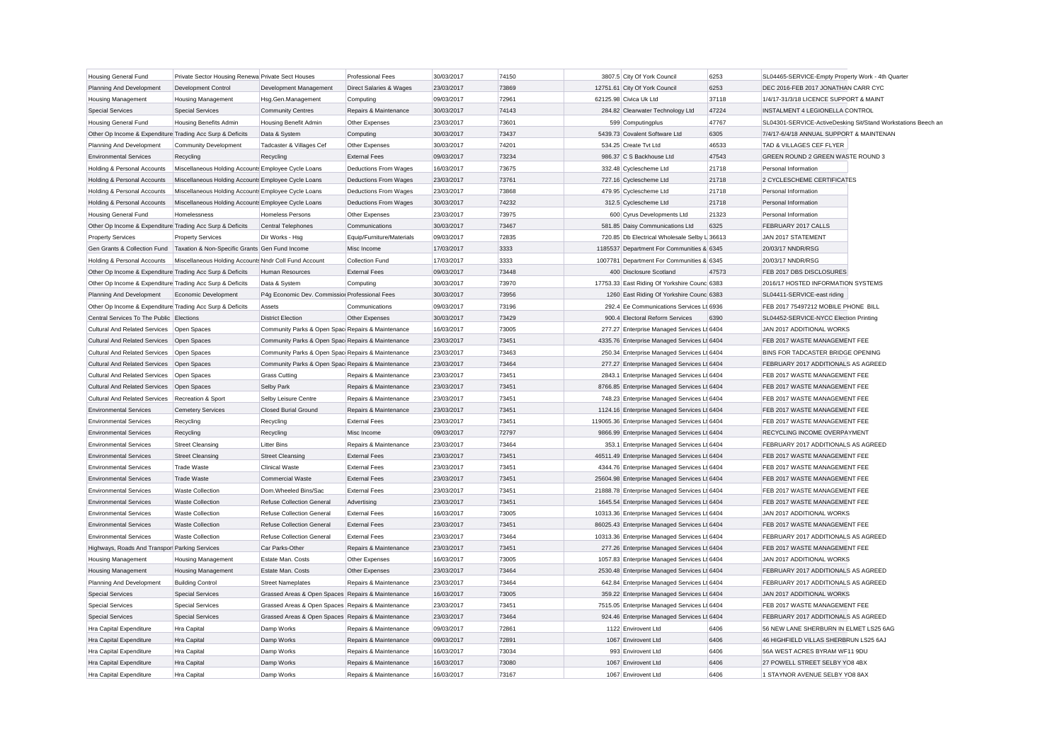| <b>Housing General Fund</b>                               | Private Sector Housing Renewa Private Sect Houses                               |                                                   | <b>Professional Fees</b>  | 30/03/2017               | 74150          | 3807.5 City Of York Council                   | 6253  | SL04465-SERVICE-Empty Property Work - 4th Quarter             |
|-----------------------------------------------------------|---------------------------------------------------------------------------------|---------------------------------------------------|---------------------------|--------------------------|----------------|-----------------------------------------------|-------|---------------------------------------------------------------|
| Planning And Development                                  | Development Control                                                             | Development Management                            | Direct Salaries & Wages   | 23/03/2017               | 73869          | 12751.61 City Of York Council                 | 6253  | DEC 2016-FEB 2017 JONATHAN CARR CYC                           |
| <b>Housing Management</b>                                 | <b>Housing Management</b>                                                       | Hsg.Gen.Management                                | Computing                 | 09/03/2017               | 72961          | 62125.98 Civica Uk Ltd                        | 37118 | 1/4/17-31/3/18 LICENCE SUPPORT & MAINT                        |
| <b>Special Services</b>                                   | <b>Special Services</b>                                                         | <b>Community Centres</b>                          | Repairs & Maintenance     | 30/03/2017               | 74143          | 284.82 Clearwater Technology Ltd              | 47224 | INSTALMENT 4 LEGIONELLA CONTROL                               |
| Housing General Fund                                      | Housing Benefits Admin                                                          | <b>Housing Benefit Admin</b>                      | Other Expenses            | 23/03/2017               | 73601          | 599 Computingplus                             | 47767 | SL04301-SERVICE-ActiveDesking Sit/Stand Workstations Beech an |
| Other Op Income & Expenditure Trading Acc Surp & Deficits |                                                                                 | Data & System                                     | Computing                 | 30/03/2017               | 73437          | 5439.73 Covalent Software Ltd                 | 6305  | 7/4/17-6/4/18 ANNUAL SUPPORT & MAINTENAN                      |
| Planning And Development                                  | <b>Community Development</b>                                                    | Tadcaster & Villages Cef                          | Other Expenses            | 30/03/2017               | 74201          | 534.25 Create Tvt Ltd                         | 46533 | TAD & VILLAGES CEF FLYER                                      |
| <b>Environmental Services</b>                             | Recycling                                                                       | Recycling                                         | <b>External Fees</b>      | 09/03/2017               | 73234          | 986.37 C S Backhouse Ltd                      | 47543 | GREEN ROUND 2 GREEN WASTE ROUND 3                             |
| Holding & Personal Accounts                               | Miscellaneous Holding Accounts Employee Cycle Loans                             |                                                   | Deductions From Wages     | 16/03/2017               | 73675          | 332.48 Cyclescheme Ltd                        | 21718 | Personal Information                                          |
| Holding & Personal Accounts                               | Miscellaneous Holding Accounts Employee Cycle Loans                             |                                                   | Deductions From Wages     | 23/03/2017               | 73761          | 727.16 Cyclescheme Ltd                        | 21718 | 2 CYCLESCHEME CERTIFICATES                                    |
| Holding & Personal Accounts                               | Miscellaneous Holding Accounts Employee Cycle Loans                             |                                                   | Deductions From Wages     | 23/03/2017               | 73868          | 479.95 Cyclescheme Ltd                        | 21718 | Personal Information                                          |
| Holding & Personal Accounts                               | Miscellaneous Holding Accounts Employee Cycle Loans                             |                                                   | Deductions From Wages     | 30/03/2017               | 74232          | 312.5 Cyclescheme Ltd                         | 21718 | Personal Information                                          |
| <b>Housing General Fund</b>                               | Homelessness                                                                    | <b>Homeless Persons</b>                           | Other Expenses            | 23/03/2017               | 73975          | 600 Cyrus Developments Ltd                    | 21323 | Personal Information                                          |
| Other Op Income & Expenditure Trading Acc Surp & Deficits |                                                                                 | Central Telephones                                | Communications            | 30/03/2017               | 73467          | 581.85 Daisy Communications Ltd               | 6325  | FEBRUARY 2017 CALLS                                           |
| <b>Property Services</b>                                  | <b>Property Services</b>                                                        | Dir Works - Hsg                                   | Equip/Furniture/Materials | 09/03/2017               | 72835          | 720.85 Db Electrical Wholesale Selby L 36613  |       | JAN 2017 STATEMENT                                            |
|                                                           | Gen Grants & Collection Fund   Taxation & Non-Specific Grants   Gen Fund Income |                                                   | Misc Income               | 17/03/2017               | 3333           | 1185537 Department For Communities & 6345     |       | 20/03/17 NNDR/RSG                                             |
| Holding & Personal Accounts                               | Miscellaneous Holding Accounts Nndr Coll Fund Account                           |                                                   | Collection Fund           | 17/03/2017               | 3333           | 1007781 Department For Communities & 6345     |       | 20/03/17 NNDR/RSG                                             |
| Other Op Income & Expenditure Trading Acc Surp & Deficits |                                                                                 | <b>Human Resources</b>                            | <b>External Fees</b>      | 09/03/2017               | 73448          | 400 Disclosure Scotland                       | 47573 | FEB 2017 DBS DISCLOSURES                                      |
| Other Op Income & Expenditure Trading Acc Surp & Deficits |                                                                                 | Data & System                                     | Computing                 | 30/03/2017               | 73970          | 17753.33 East Riding Of Yorkshire Counc 6383  |       | 2016/17 HOSTED INFORMATION SYSTEMS                            |
| Planning And Development                                  | Economic Development                                                            | P4g Economic Dev. Commission Professional Fees    |                           | 30/03/2017               | 73956          | 1260 East Riding Of Yorkshire Counc 6383      |       | SL04411-SERVICE-east riding                                   |
| Other Op Income & Expenditure Trading Acc Surp & Deficits |                                                                                 | Assets                                            | Communications            | 09/03/2017               | 73196          | 292.4 Ee Communications Services Lt 6936      |       | FEB 2017 75497212 MOBILE PHONE BILL                           |
| Central Services To The Public Elections                  |                                                                                 | <b>District Election</b>                          | Other Expenses            | 30/03/2017               | 73429          | 900.4 Electoral Reform Services               | 6390  | SL04452-SERVICE-NYCC Election Printing                        |
| <b>Cultural And Related Services</b>                      | Open Spaces                                                                     | Community Parks & Open Spac Repairs & Maintenance |                           | 16/03/2017               | 73005          | 277.27 Enterprise Managed Services Lt 6404    |       | JAN 2017 ADDITIONAL WORKS                                     |
| Cultural And Related Services  Open Spaces                |                                                                                 | Community Parks & Open Spac Repairs & Maintenance |                           | 23/03/2017               | 73451          | 4335.76 Enterprise Managed Services Lt 6404   |       | FEB 2017 WASTE MANAGEMENT FEE                                 |
| <b>Cultural And Related Services</b>                      | Open Spaces                                                                     | Community Parks & Open Spac Repairs & Maintenance |                           | 23/03/2017               | 73463          | 250.34 Enterprise Managed Services Lt 6404    |       | BINS FOR TADCASTER BRIDGE OPENING                             |
| <b>Cultural And Related Services</b>                      | Open Spaces                                                                     | Community Parks & Open Spac Repairs & Maintenance |                           | 23/03/2017               | 73464          | 277.27 Enterprise Managed Services Lt 6404    |       | FEBRUARY 2017 ADDITIONALS AS AGREED                           |
| Cultural And Related Services   Open Spaces               |                                                                                 | <b>Grass Cutting</b>                              | Repairs & Maintenance     | 23/03/2017               | 73451          | 2843.1 Enterprise Managed Services Lt 6404    |       | FEB 2017 WASTE MANAGEMENT FEE                                 |
| <b>Cultural And Related Services</b>                      | Open Spaces                                                                     | Selby Park                                        | Repairs & Maintenance     | 23/03/2017               | 73451          | 8766.85 Enterprise Managed Services Lt 6404   |       | FEB 2017 WASTE MANAGEMENT FEE                                 |
| <b>Cultural And Related Services</b>                      | Recreation & Sport                                                              | Selby Leisure Centre                              | Repairs & Maintenance     | 23/03/2017               | 73451          | 748.23 Enterprise Managed Services Lt 6404    |       | FEB 2017 WASTE MANAGEMENT FEE                                 |
| <b>Environmental Services</b>                             | <b>Cemetery Services</b>                                                        | <b>Closed Burial Ground</b>                       | Repairs & Maintenance     | 23/03/2017               | 73451          | 1124.16 Enterprise Managed Services Lt 6404   |       | FEB 2017 WASTE MANAGEMENT FEE                                 |
| <b>Environmental Services</b>                             | Recycling                                                                       | Recycling                                         | <b>External Fees</b>      | 23/03/2017               | 73451          | 119065.36 Enterprise Managed Services Lt 6404 |       | FEB 2017 WASTE MANAGEMENT FEE                                 |
| <b>Environmental Services</b>                             | Recycling                                                                       | Recycling                                         | Misc Income               | 09/03/2017               | 72797          | 9866.99 Enterprise Managed Services Lt 6404   |       | RECYCLING INCOME OVERPAYMENT                                  |
| <b>Environmental Services</b>                             | <b>Street Cleansing</b>                                                         | <b>Litter Bins</b>                                | Repairs & Maintenance     | 23/03/2017               | 73464          | 353.1 Enterprise Managed Services Lt 6404     |       | FEBRUARY 2017 ADDITIONALS AS AGREED                           |
| <b>Environmental Services</b>                             | <b>Street Cleansing</b>                                                         | <b>Street Cleansing</b>                           | <b>External Fees</b>      | 23/03/2017               | 73451          | 46511.49 Enterprise Managed Services Lt 6404  |       | FEB 2017 WASTE MANAGEMENT FEE                                 |
| <b>Environmental Services</b>                             | <b>Trade Waste</b>                                                              | <b>Clinical Waste</b>                             | <b>External Fees</b>      | 23/03/2017               | 73451          | 4344.76 Enterprise Managed Services Lt 6404   |       | FEB 2017 WASTE MANAGEMENT FEE                                 |
| <b>Environmental Services</b>                             | <b>Trade Waste</b>                                                              | Commercial Waste                                  | <b>External Fees</b>      | 23/03/2017               | 73451          | 25604.98 Enterprise Managed Services Lt 6404  |       | FEB 2017 WASTE MANAGEMENT FEE                                 |
| <b>Environmental Services</b>                             | <b>Waste Collection</b>                                                         | Dom.Wheeled Bins/Sac                              | <b>External Fees</b>      | 23/03/2017               | 73451          | 21888.78 Enterprise Managed Services Lt 6404  |       | FEB 2017 WASTE MANAGEMENT FEE                                 |
| <b>Environmental Services</b>                             | <b>Waste Collection</b>                                                         | Refuse Collection General                         | Advertising               | 23/03/2017               | 73451          | 1645.54 Enterprise Managed Services Lt 6404   |       | FEB 2017 WASTE MANAGEMENT FEE                                 |
| <b>Environmental Services</b>                             | <b>Waste Collection</b>                                                         | <b>Refuse Collection General</b>                  | <b>External Fees</b>      | 16/03/2017               | 73005          | 10313.36 Enterprise Managed Services Lt 6404  |       | JAN 2017 ADDITIONAL WORKS                                     |
| Environmental Services                                    | <b>Waste Collection</b>                                                         | Refuse Collection General                         | <b>External Fees</b>      | 23/03/2017               | 73451          | 86025.43 Enterprise Managed Services Lt 6404  |       | FEB 2017 WASTE MANAGEMENT FEE                                 |
| <b>Environmental Services</b>                             | <b>Waste Collection</b>                                                         | Refuse Collection General                         | <b>External Fees</b>      | 23/03/2017               | 73464          | 10313.36 Enterprise Managed Services Lt 6404  |       | FEBRUARY 2017 ADDITIONALS AS AGREED                           |
|                                                           |                                                                                 |                                                   |                           |                          |                | 277.26 Enterprise Managed Services Lt 6404    |       |                                                               |
| Highways, Roads And Transpor Parking Services             |                                                                                 | Car Parks-Other<br>Estate Man, Costs              | Repairs & Maintenance     | 23/03/2017<br>16/03/2017 | 73451<br>73005 | 1057.83 Enterprise Managed Services Lt 6404   |       | FEB 2017 WASTE MANAGEMENT FEE<br>JAN 2017 ADDITIONAL WORKS    |
| <b>Housing Management</b>                                 | <b>Housing Management</b>                                                       |                                                   | Other Expenses            |                          |                |                                               |       |                                                               |
| <b>Housing Management</b>                                 | <b>Housing Management</b>                                                       | Estate Man. Costs                                 | Other Expenses            | 23/03/2017               | 73464          | 2530.48 Enterprise Managed Services Lt 6404   |       | FEBRUARY 2017 ADDITIONALS AS AGREED                           |
| Planning And Development                                  | <b>Building Control</b>                                                         | <b>Street Nameplates</b>                          | Repairs & Maintenance     | 23/03/2017               | 73464          | 642.84 Enterprise Managed Services Lt 6404    |       | FEBRUARY 2017 ADDITIONALS AS AGREED                           |
| <b>Special Services</b>                                   | <b>Special Services</b>                                                         | Grassed Areas & Open Spaces Repairs & Maintenance |                           | 16/03/2017               | 73005          | 359.22 Enterprise Managed Services Lt 6404    |       | JAN 2017 ADDITIONAL WORKS                                     |
| <b>Special Services</b>                                   | <b>Special Services</b>                                                         | Grassed Areas & Open Spaces Repairs & Maintenance |                           | 23/03/2017               | 73451          | 7515.05 Enterprise Managed Services Lt 6404   |       | FEB 2017 WASTE MANAGEMENT FEE                                 |
| <b>Special Services</b>                                   | <b>Special Services</b>                                                         | Grassed Areas & Open Spaces Repairs & Maintenance |                           | 23/03/2017               | 73464          | 924.46 Enterprise Managed Services Lt 6404    |       | FEBRUARY 2017 ADDITIONALS AS AGREED                           |
| Hra Capital Expenditure                                   | Hra Capital                                                                     | Damp Works                                        | Repairs & Maintenance     | 09/03/2017               | 72861          | 1122 Envirovent Ltd                           | 6406  | 56 NEW LANE SHERBURN IN ELMET LS25 6AG                        |
| Hra Capital Expenditure                                   | <b>Hra Capital</b>                                                              | Damp Works                                        | Repairs & Maintenance     | 09/03/2017               | 72891          | 1067 Envirovent Ltd                           | 6406  | 46 HIGHFIELD VILLAS SHERBRUN LS25 6AJ                         |
| Hra Capital Expenditure                                   | <b>Hra Capital</b>                                                              | Damp Works                                        | Repairs & Maintenance     | 16/03/2017               | 73034          | 993 Envirovent Ltd                            | 6406  | 56A WEST ACRES BYRAM WF11 9DU                                 |
| Hra Capital Expenditure                                   | <b>Hra Capital</b>                                                              | Damp Works                                        | Repairs & Maintenance     | 16/03/2017               | 73080          | 1067 Envirovent Ltd                           | 6406  | 27 POWELL STREET SELBY YO8 4BX                                |
| Hra Capital Expenditure                                   | <b>Hra Capital</b>                                                              | Damp Works                                        | Repairs & Maintenance     | 16/03/2017               | 73167          | 1067 Envirovent Ltd                           | 6406  | 1 STAYNOR AVENUE SELBY YO8 8AX                                |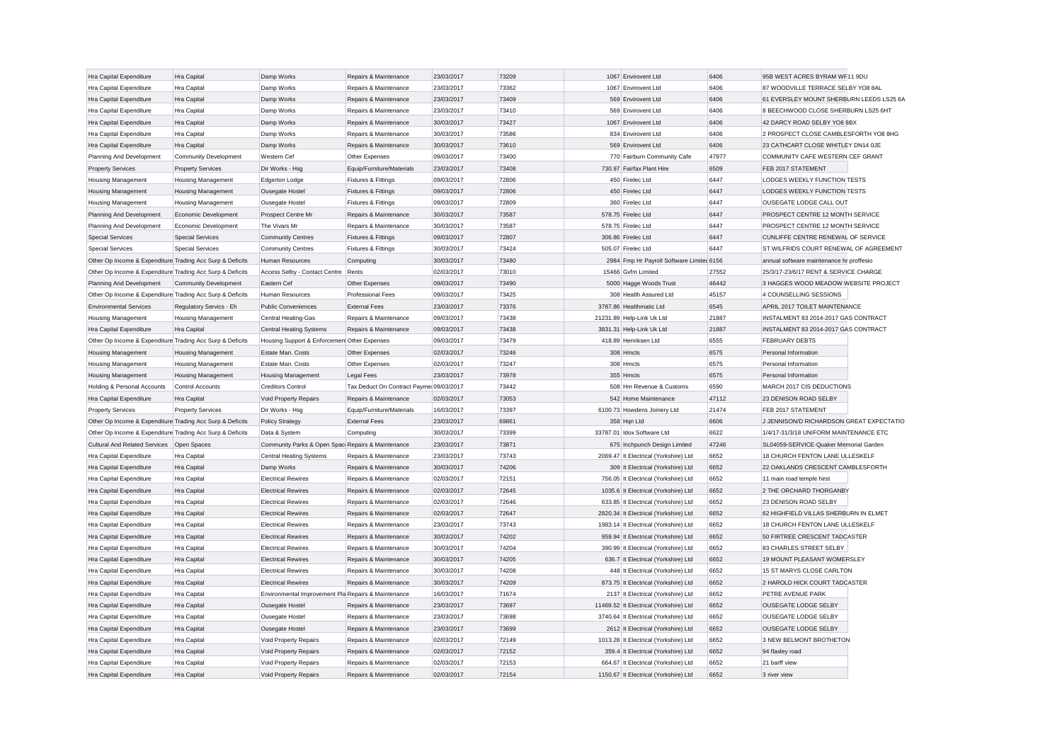| Hra Capital Expenditure                                   | Hra Capital                  | Damp Works                                          | Repairs & Maintenance                   | 23/03/2017 | 73209 | 1067 Envirovent Ltd                       | 6406  | 95B WEST ACRES BYRAM WF11 9DU            |  |
|-----------------------------------------------------------|------------------------------|-----------------------------------------------------|-----------------------------------------|------------|-------|-------------------------------------------|-------|------------------------------------------|--|
| Hra Capital Expenditure                                   | Hra Capital                  | Damp Works                                          | Repairs & Maintenance                   | 23/03/2017 | 73362 | 1067 Envirovent Ltd                       | 6406  | 87 WOODVILLE TERRACE SELBY YO8 8AL       |  |
| Hra Capital Expenditure                                   | Hra Capital                  | Damp Works                                          | Repairs & Maintenance                   | 23/03/2017 | 73409 | 569 Envirovent Ltd                        | 6406  | 61 EVERSLEY MOUNT SHERBURN LEEDS LS25 6A |  |
| Hra Capital Expenditure                                   | Hra Capital                  | Damp Works                                          | Repairs & Maintenance                   | 23/03/2017 | 73410 | 569 Envirovent Ltd                        | 6406  | 8 BEECHWOOD CLOSE SHERBURN LS25 6HT      |  |
| Hra Capital Expenditure                                   | Hra Capital                  | Damp Works                                          | Repairs & Maintenance                   | 30/03/2017 | 73427 | 1067 Envirovent Ltd                       | 6406  | 42 DARCY ROAD SELBY YO8 8BX              |  |
| Hra Capital Expenditure                                   | Hra Capital                  | Damp Works                                          | Repairs & Maintenance                   | 30/03/2017 | 73586 | 834 Envirovent Ltd                        | 6406  | 2 PROSPECT CLOSE CAMBLESFORTH YO8 8HG    |  |
| Hra Capital Expenditure                                   | Hra Capital                  | Damp Works                                          | Repairs & Maintenance                   | 30/03/2017 | 73610 | 569 Envirovent Ltd                        | 6406  | 23 CATHCART CLOSE WHITLEY DN14 OJE       |  |
| Planning And Development                                  | <b>Community Development</b> | Western Cef                                         | Other Expenses                          | 09/03/2017 | 73400 | 770 Fairburn Community Cafe               | 47977 | COMMUNITY CAFE WESTERN CEF GRANT         |  |
| <b>Property Services</b>                                  | <b>Property Services</b>     | Dir Works - Hsg                                     | Equip/Furniture/Materials               | 23/03/2017 | 73408 | 730.97 Fairfax Plant Hire                 | 6509  | FEB 2017 STATEMENT                       |  |
| <b>Housing Management</b>                                 | <b>Housing Management</b>    | Edgerton Lodge                                      | Fixtures & Fittings                     | 09/03/2017 | 72806 | 450 Firelec Ltd                           | 6447  | LODGES WEEKLY FUNCTION TESTS             |  |
| Housing Management                                        | Housing Management           | Ousegate Hostel                                     | Fixtures & Fittings                     | 09/03/2017 | 72806 | 450 Firelec Ltd                           | 6447  | LODGES WEEKLY FUNCTION TESTS             |  |
| <b>Housing Management</b>                                 | Housing Management           | Ousegate Hostel                                     | Fixtures & Fittings                     | 09/03/2017 | 72809 | 360 Firelec Ltd                           | 6447  | OUSEGATE LODGE CALL OUT                  |  |
| Planning And Development                                  | Economic Development         | Prospect Centre Mr                                  | Repairs & Maintenance                   | 30/03/2017 | 73587 | 578.75 Firelec Ltd                        | 6447  | PROSPECT CENTRE 12 MONTH SERVICE         |  |
| Planning And Development                                  | Economic Development         | The Vivars Mr                                       | Repairs & Maintenance                   | 30/03/2017 | 73587 | 578.75 Firelec Ltd                        | 6447  | PROSPECT CENTRE 12 MONTH SERVICE         |  |
| <b>Special Services</b>                                   | <b>Special Services</b>      | <b>Community Centres</b>                            | <b>Fixtures &amp; Fittings</b>          | 09/03/2017 | 72807 | 306.86 Firelec Ltd                        | 6447  | CUNLIFFE CENTRE RENEWAL OF SERVICE       |  |
| <b>Special Services</b>                                   | <b>Special Services</b>      | <b>Community Centres</b>                            | Fixtures & Fittings                     | 30/03/2017 | 73424 | 505.07 Firelec Ltd                        | 6447  | ST WILFRIDS COURT RENEWAL OF AGREEMENT   |  |
| Other Op Income & Expenditure Trading Acc Surp & Deficits |                              | Human Resources                                     | Computing                               | 30/03/2017 | 73480 | 2984 Fmp Hr Payroll Software Limited 6156 |       | annual software maintenance hr proffesio |  |
| Other Op Income & Expenditure Trading Acc Surp & Deficits |                              | Access Selby - Contact Centre                       | Rents                                   | 02/03/2017 | 73010 | 15466 Gvfm Limited                        | 27552 | 25/3/17-23/6/17 RENT & SERVICE CHARGE    |  |
| Planning And Development                                  | <b>Community Development</b> | Eastern Cef                                         | Other Expenses                          | 09/03/2017 | 73490 | 5000 Hagge Woods Trust                    | 46442 | 3 HAGGES WOOD MEADOW WEBSITE PROJECT     |  |
| Other Op Income & Expenditure Trading Acc Surp & Deficits |                              | <b>Human Resources</b>                              | Professional Fees                       | 09/03/2017 | 73425 | 308 Health Assured Ltd                    | 45157 | 4 COUNSELLING SESSIONS                   |  |
| <b>Environmental Services</b>                             | Regulatory Servics - Eh      | <b>Public Conveniences</b>                          | <b>External Fees</b>                    | 23/03/2017 | 73376 | 3787.86 Healthmatic Ltd                   | 6545  | APRIL 2017 TOILET MAINTENANCE            |  |
| Housing Management                                        | <b>Housing Management</b>    | <b>Central Heating-Gas</b>                          | Repairs & Maintenance                   | 09/03/2017 | 73438 | 21231.89 Help-Link Uk Ltd                 | 21887 | INSTALMENT 83 2014-2017 GAS CONTRACT     |  |
| Hra Capital Expenditure                                   | Hra Capital                  | <b>Central Heating Systems</b>                      | Repairs & Maintenance                   | 09/03/2017 | 73438 | 3831.31 Help-Link Uk Ltd                  | 21887 | INSTALMENT 83 2014-2017 GAS CONTRACT     |  |
| Other Op Income & Expenditure Trading Acc Surp & Deficits |                              | Housing Support & Enforcemen Other Expenses         |                                         | 09/03/2017 | 73479 | 418.89 Henriksen Ltd                      | 6555  | <b>FEBRUARY DEBTS</b>                    |  |
| <b>Housing Management</b>                                 | <b>Housing Management</b>    | Estate Man. Costs                                   | Other Expenses                          | 02/03/2017 | 73246 | 308 Hmcts                                 | 6575  | Personal Information                     |  |
| <b>Housing Management</b>                                 | <b>Housing Management</b>    | Estate Man, Costs                                   | Other Expenses                          | 02/03/2017 | 73247 | 308 Hmcts                                 | 6575  | Personal Information                     |  |
| Housing Management                                        | Housing Management           | <b>Housing Management</b>                           | <b>Legal Fees</b>                       | 23/03/2017 | 73978 | 355 Hmcts                                 | 6575  | Personal Information                     |  |
| Holding & Personal Accounts                               | <b>Control Accounts</b>      | <b>Creditors Control</b>                            | Tax Deduct On Contract Payme 09/03/2017 |            | 73442 | 508 Hm Revenue & Customs                  | 6590  | MARCH 2017 CIS DEDUCTIONS                |  |
| Hra Capital Expenditure                                   | Hra Capital                  | Void Property Repairs                               | Repairs & Maintenance                   | 02/03/2017 | 73053 | 542 Home Maintenance                      | 47112 | 23 DENISON ROAD SELBY                    |  |
| <b>Property Services</b>                                  | <b>Property Services</b>     | Dir Works - Hsg                                     | Equip/Furniture/Materials               | 16/03/2017 | 73397 | 6100.73 Howdens Joinery Ltd               | 21474 | FEB 2017 STATEMENT                       |  |
| Other Op Income & Expenditure Trading Acc Surp & Deficits |                              | <b>Policy Strategy</b>                              | <b>External Fees</b>                    | 23/03/2017 | 69861 | 358 Hqn Ltd                               | 6606  | J JENNISON/D RICHARDSON GREAT EXPECTATIO |  |
| Other Op Income & Expenditure Trading Acc Surp & Deficits |                              | Data & System                                       | Computing                               | 30/03/2017 | 73399 | 33787.01 Idox Software Ltd                | 6622  | 1/4/17-31/3/18 UNIFORM MAINTENANCE ETC   |  |
| Cultural And Related Services   Open Spaces               |                              | Community Parks & Open Spac Repairs & Maintenance   |                                         | 23/03/2017 | 73871 | 675 Inchpunch Design Limited              | 47246 | SL04059-SERVICE-Quaker Memorial Garden   |  |
| Hra Capital Expenditure                                   | Hra Capital                  | <b>Central Heating Systems</b>                      | Repairs & Maintenance                   | 23/03/2017 | 73743 | 2069.47 It Electrical (Yorkshire) Ltd     | 6652  | 18 CHURCH FENTON LANE ULLESKELF          |  |
| Hra Capital Expenditure                                   | Hra Capital                  | Damp Works                                          | Repairs & Maintenance                   | 30/03/2017 | 74206 | 309 It Electrical (Yorkshire) Ltd         | 6652  | 22 OAKLANDS CRESCENT CAMBLESFORTH        |  |
| Hra Capital Expenditure                                   | Hra Capital                  | <b>Electrical Rewires</b>                           | Repairs & Maintenance                   | 02/03/2017 | 72151 | 756.05 It Electrical (Yorkshire) Ltd      | 6652  | 11 main road temple hirst                |  |
| Hra Capital Expenditure                                   | Hra Capital                  | <b>Electrical Rewires</b>                           | Repairs & Maintenance                   | 02/03/2017 | 72645 | 1035.6 It Electrical (Yorkshire) Ltd      | 6652  | 2 THE ORCHARD THORGANBY                  |  |
| Hra Capital Expenditure                                   | Hra Capital                  | <b>Electrical Rewires</b>                           | Repairs & Maintenance                   | 02/03/2017 | 72646 | 633.85 It Electrical (Yorkshire) Ltd      | 6652  | 23 DENISON ROAD SELBY                    |  |
| Hra Capital Expenditure                                   | Hra Capital                  | <b>Electrical Rewires</b>                           | Repairs & Maintenance                   | 02/03/2017 | 72647 | 2820.34 It Electrical (Yorkshire) Ltd     | 6652  | 62 HIGHFIELD VILLAS SHERBURN IN ELMET    |  |
| Hra Capital Expenditure                                   | Hra Capital                  | <b>Electrical Rewires</b>                           | Repairs & Maintenance                   | 23/03/2017 | 73743 | 1983.14 It Electrical (Yorkshire) Ltd     | 6652  | 18 CHURCH FENTON LANE ULLESKELF          |  |
| Hra Capital Expenditure                                   | Hra Capital                  | <b>Electrical Rewires</b>                           | Repairs & Maintenance                   | 30/03/2017 | 74202 | 959.94 It Electrical (Yorkshire) Ltd      | 6652  | 50 FIRTREE CRESCENT TADCASTER            |  |
|                                                           |                              | <b>Electrical Rewires</b>                           | Repairs & Maintenance                   | 30/03/2017 | 74204 | 390.99 It Electrical (Yorkshire) Ltd      | 6652  | 83 CHARLES STREET SELBY                  |  |
| Hra Capital Expenditure<br>Hra Capital Expenditure        | Hra Capital<br>Hra Capital   | <b>Electrical Rewires</b>                           | Repairs & Maintenance                   | 30/03/2017 | 74205 | 636.7 It Electrical (Yorkshire) Ltd       | 6652  | 19 MOUNT PLEASANT WOMERSLEY              |  |
|                                                           |                              | <b>Electrical Rewires</b>                           | Repairs & Maintenance                   | 30/03/2017 | 74208 | 448 It Electrical (Yorkshire) Ltd         | 6652  | 15 ST MARYS CLOSE CARLTON                |  |
| Hra Capital Expenditure                                   | Hra Capital                  |                                                     | Repairs & Maintenance                   | 30/03/2017 | 74209 |                                           | 6652  | 2 HAROLD HICK COURT TADCASTER            |  |
| Hra Capital Expenditure                                   | Hra Capital                  | <b>Electrical Rewires</b>                           |                                         |            |       | 873.75 It Electrical (Yorkshire) Ltd      |       |                                          |  |
| Hra Capital Expenditure                                   | Hra Capital                  | Environmental Improvement Pla Repairs & Maintenance |                                         | 16/03/2017 | 71674 | 2137 It Electrical (Yorkshire) Ltd        | 6652  | PETRE AVENUE PARK                        |  |
| <b>Hra Capital Expenditure</b>                            | Hra Capital                  | Ousegate Hostel                                     | Repairs & Maintenance                   | 23/03/2017 | 73697 | 11469.52 It Electrical (Yorkshire) Ltd    | 6652  | OUSEGATE LODGE SELBY                     |  |
| Hra Capital Expenditure                                   | Hra Capital                  | <b>Ousegate Hostel</b>                              | Repairs & Maintenance                   | 23/03/2017 | 73698 | 3740.64 It Electrical (Yorkshire) Ltd     | 6652  | <b>OUSEGATE LODGE SELBY</b>              |  |
| Hra Capital Expenditure                                   | Hra Capital                  | Ousegate Hostel                                     | Repairs & Maintenance                   | 23/03/2017 | 73699 | 2612 It Electrical (Yorkshire) Ltd        | 6652  | OUSEGATE LODGE SELBY                     |  |
| Hra Capital Expenditure                                   | Hra Capital                  | Void Property Repairs                               | Repairs & Maintenance                   | 02/03/2017 | 72149 | 1013.28 It Electrical (Yorkshire) Ltd     | 6652  | 3 NEW BELMONT BROTHETON                  |  |
| Hra Capital Expenditure                                   | Hra Capital                  | Void Property Repairs                               | Repairs & Maintenance                   | 02/03/2017 | 72152 | 359.4 It Electrical (Yorkshire) Ltd       | 6652  | 94 flaxley road                          |  |
| Hra Capital Expenditure                                   | Hra Capital                  | <b>Void Property Repairs</b>                        | Repairs & Maintenance                   | 02/03/2017 | 72153 | 664.67 It Electrical (Yorkshire) Ltd      | 6652  | 21 barff view                            |  |
| Hra Capital Expenditure                                   | Hra Capital                  | Void Property Repairs                               | Repairs & Maintenance                   | 02/03/2017 | 72154 | 1150.67 It Electrical (Yorkshire) Ltd     | 6652  | 3 river view                             |  |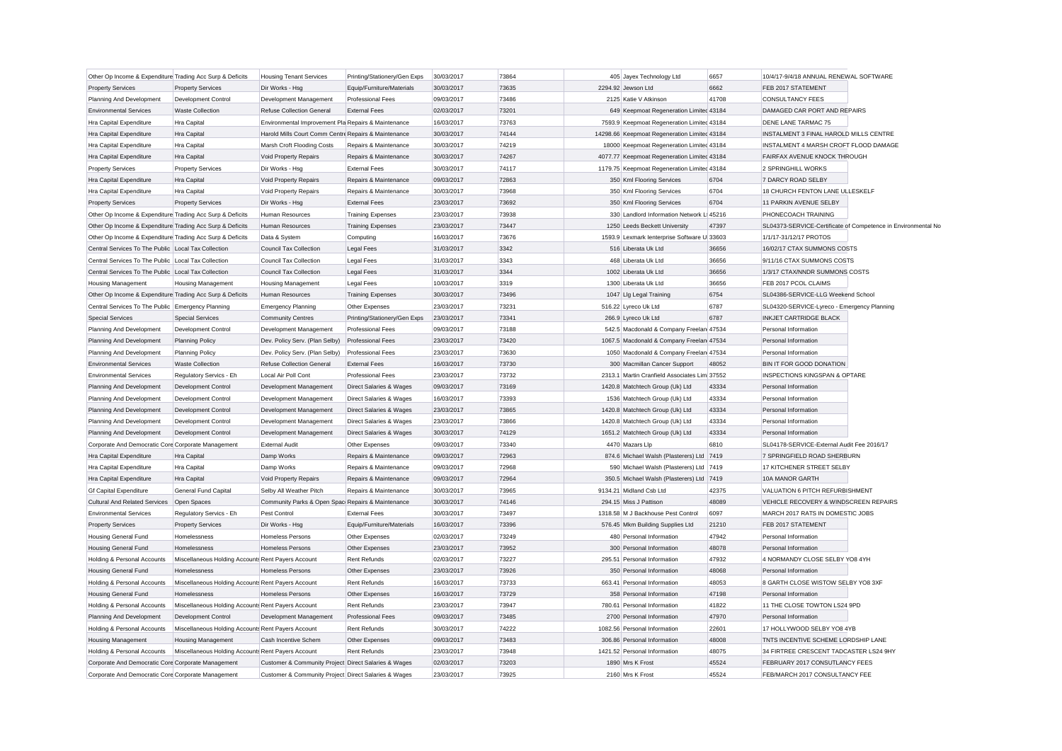| Other Op Income & Expenditure Trading Acc Surp & Deficits |                                                    | <b>Housing Tenant Services</b>                       | Printing/Stationery/Gen Exps       | 30/03/2017               | 73864 | 405 Jayex Technology Ltd                                                            | 6657  | 10/4/17-9/4/18 ANNUAL RENEWAL SOFTWARE       |                                                               |
|-----------------------------------------------------------|----------------------------------------------------|------------------------------------------------------|------------------------------------|--------------------------|-------|-------------------------------------------------------------------------------------|-------|----------------------------------------------|---------------------------------------------------------------|
| <b>Property Services</b>                                  | <b>Property Services</b>                           | Dir Works - Hsg                                      | Equip/Furniture/Materials          | 30/03/2017               | 73635 | 2294.92 Jewson Ltd                                                                  | 6662  | FEB 2017 STATEMENT                           |                                                               |
| Planning And Development                                  | <b>Development Control</b>                         | Development Management                               | <b>Professional Fees</b>           | 09/03/2017               | 73486 | 2125 Katie V Atkinson                                                               | 41708 | <b>CONSULTANCY FEES</b>                      |                                                               |
| <b>Environmental Services</b>                             | <b>Waste Collection</b>                            | <b>Refuse Collection General</b>                     | <b>External Fees</b>               | 02/03/2017               | 73201 | 649 Keepmoat Regeneration Limited 43184                                             |       | DAMAGED CAR PORT AND REPAIRS                 |                                                               |
| Hra Capital Expenditure                                   | Hra Capital                                        | Environmental Improvement Pla Repairs & Maintenance  |                                    | 16/03/2017               | 73763 | 7593.9 Keepmoat Regeneration Limited 43184                                          |       | DENE LANE TARMAC 75                          |                                                               |
| Hra Capital Expenditure                                   | Hra Capital                                        | Harold Mills Court Comm Centre Repairs & Maintenance |                                    | 30/03/2017               | 74144 | 14298.66 Keepmoat Regeneration Limited 43184                                        |       | INSTALMENT 3 FINAL HAROLD MILLS CENTRE       |                                                               |
| Hra Capital Expenditure                                   | Hra Capital                                        | Marsh Croft Flooding Costs                           | Repairs & Maintenance              | 30/03/2017               | 74219 | 18000 Keepmoat Regeneration Limited 43184                                           |       | INSTALMENT 4 MARSH CROFT FLOOD DAMAGE        |                                                               |
| Hra Capital Expenditure                                   | Hra Capital                                        | Void Property Repairs                                | Repairs & Maintenance              | 30/03/2017               | 74267 | 4077.77 Keepmoat Regeneration Limited 43184                                         |       | FAIRFAX AVENUE KNOCK THROUGH                 |                                                               |
| <b>Property Services</b>                                  | <b>Property Services</b>                           | Dir Works - Hsg                                      | <b>External Fees</b>               | 30/03/2017               | 74117 | 1179.75 Keepmoat Regeneration Limited 43184                                         |       | 2 SPRINGHILL WORKS                           |                                                               |
| Hra Capital Expenditure                                   | Hra Capital                                        | Void Property Repairs                                | Repairs & Maintenance              | 09/03/2017               | 72863 | 350 Kml Flooring Services                                                           | 6704  | 7 DARCY ROAD SELBY                           |                                                               |
| Hra Capital Expenditure                                   | Hra Capital                                        | Void Property Repairs                                | Repairs & Maintenance              | 30/03/2017               | 73968 | 350 Kml Flooring Services                                                           | 6704  | 18 CHURCH FENTON LANE ULLESKELF              |                                                               |
| <b>Property Services</b>                                  | <b>Property Services</b>                           | Dir Works - Hsg                                      | <b>External Fees</b>               | 23/03/2017               | 73692 | 350 Kml Flooring Services                                                           | 6704  | 11 PARKIN AVENUE SELBY                       |                                                               |
| Other Op Income & Expenditure Trading Acc Surp & Deficits |                                                    | Human Resources                                      | <b>Training Expenses</b>           | 23/03/2017               | 73938 | 330 Landlord Information Network L 45216                                            |       | PHONECOACH TRAINING                          |                                                               |
| Other Op Income & Expenditure Trading Acc Surp & Deficits |                                                    | <b>Human Resources</b>                               | <b>Training Expenses</b>           | 23/03/2017               | 73447 | 1250 Leeds Beckett University                                                       | 47397 |                                              | SL04373-SERVICE-Certificate of Competence in Environmental No |
| Other Op Income & Expenditure Trading Acc Surp & Deficits |                                                    | Data & System                                        | Computing                          | 16/03/2017               | 73676 | 1593.9 Lexmark lenterprise Software U 33603                                         |       | 1/1/17-31/12/17 PROTOS                       |                                                               |
| Central Services To The Public Local Tax Collection       |                                                    | Council Tax Collection                               | <b>Legal Fees</b>                  | 31/03/2017               | 3342  | 516 Liberata Uk Ltd                                                                 | 36656 | 16/02/17 CTAX SUMMONS COSTS                  |                                                               |
| Central Services To The Public Local Tax Collection       |                                                    | <b>Council Tax Collection</b>                        | <b>Legal Fees</b>                  | 31/03/2017               | 3343  | 468 Liberata Uk Ltd                                                                 | 36656 | 9/11/16 CTAX SUMMONS COSTS                   |                                                               |
| Central Services To The Public Local Tax Collection       |                                                    | <b>Council Tax Collection</b>                        | <b>Legal Fees</b>                  | 31/03/2017               | 3344  | 1002 Liberata Uk Ltd                                                                | 36656 | 1/3/17 CTAX/NNDR SUMMONS COSTS               |                                                               |
| <b>Housing Management</b>                                 | <b>Housing Management</b>                          | <b>Housing Management</b>                            | <b>Legal Fees</b>                  | 10/03/2017               | 3319  | 1300 Liberata Uk Ltd                                                                | 36656 | FEB 2017 PCOL CLAIMS                         |                                                               |
| Other Op Income & Expenditure Trading Acc Surp & Deficits |                                                    | Human Resources                                      | <b>Training Expenses</b>           | 30/03/2017               | 73496 | 1047 Lig Legal Training                                                             | 6754  | SL04386-SERVICE-LLG Weekend School           |                                                               |
| Central Services To The Public Emergency Planning         |                                                    | <b>Emergency Planning</b>                            | Other Expenses                     | 23/03/2017               | 73231 | 516.22 Lyreco Uk Ltd                                                                | 6787  | SL04320-SERVICE-Lyreco - Emergency Planning  |                                                               |
| <b>Special Services</b>                                   | <b>Special Services</b>                            | <b>Community Centres</b>                             | Printing/Stationery/Gen Exps       | 23/03/2017               | 73341 | 266.9 Lyreco Uk Ltd                                                                 | 6787  | INKJET CARTRIDGE BLACK                       |                                                               |
|                                                           |                                                    |                                                      |                                    |                          | 73188 |                                                                                     |       |                                              |                                                               |
| Planning And Development                                  | Development Control                                | Development Management                               | <b>Professional Fees</b>           | 09/03/2017<br>23/03/2017 | 73420 | 542.5 Macdonald & Company Freelan 47534<br>1067.5 Macdonald & Company Freelan 47534 |       | Personal Information<br>Personal Information |                                                               |
| Planning And Development                                  | <b>Planning Policy</b>                             | Dev. Policy Serv. (Plan Selby)                       | <b>Professional Fees</b>           |                          |       |                                                                                     |       |                                              |                                                               |
| Planning And Development                                  | <b>Planning Policy</b>                             | Dev. Policy Serv. (Plan Selby)                       | <b>Professional Fees</b>           | 23/03/2017               | 73630 | 1050 Macdonald & Company Freelan 47534                                              |       | Personal Information                         |                                                               |
| <b>Environmental Services</b>                             | <b>Waste Collection</b>                            | <b>Refuse Collection General</b>                     | <b>External Fees</b>               | 16/03/2017               | 73730 | 300 Macmillan Cancer Support                                                        | 48052 | BIN IT FOR GOOD DONATION                     |                                                               |
| <b>Environmental Services</b>                             | Regulatory Servics - Eh                            | Local Air Poll Cont                                  | <b>Professional Fees</b>           | 23/03/2017               | 73732 | 2313.1 Martin Cranfield Associates Lim 37552                                        |       | <b>INSPECTIONS KINGSPAN &amp; OPTARE</b>     |                                                               |
| Planning And Development                                  | Development Control                                | Development Management                               | Direct Salaries & Wages            | 09/03/2017               | 73169 | 1420.8 Matchtech Group (Uk) Ltd                                                     | 43334 | Personal Information                         |                                                               |
| Planning And Development                                  | Development Control                                | Development Management                               | Direct Salaries & Wages            | 16/03/2017               | 73393 | 1536 Matchtech Group (Uk) Ltd                                                       | 43334 | Personal Information                         |                                                               |
| Planning And Development                                  | <b>Development Control</b>                         | Development Management                               | <b>Direct Salaries &amp; Wages</b> | 23/03/2017               | 73865 | 1420.8 Matchtech Group (Uk) Ltd                                                     | 43334 | Personal Information                         |                                                               |
| Planning And Development                                  | <b>Development Control</b>                         | Development Management                               | Direct Salaries & Wages            | 23/03/2017               | 73866 | 1420.8 Matchtech Group (Uk) Ltd                                                     | 43334 | Personal Information                         |                                                               |
| Planning And Development                                  | Development Control                                | Development Management                               | Direct Salaries & Wages            | 30/03/2017               | 74129 | 1651.2 Matchtech Group (Uk) Ltd                                                     | 43334 | Personal Information                         |                                                               |
| Corporate And Democratic Core Corporate Management        |                                                    | <b>External Audit</b>                                | Other Expenses                     | 09/03/2017               | 73340 | 4470 Mazars Llp                                                                     | 6810  | SL04178-SERVICE-External Audit Fee 2016/17   |                                                               |
| Hra Capital Expenditure                                   | Hra Capital                                        | Damp Works                                           | Repairs & Maintenance              | 09/03/2017               | 72963 | 874.6 Michael Walsh (Plasterers) Ltd 7419                                           |       | 7 SPRINGFIELD ROAD SHERBURN                  |                                                               |
| Hra Capital Expenditure                                   | Hra Capital                                        | Damp Works                                           | Repairs & Maintenance              | 09/03/2017               | 72968 | 590 Michael Walsh (Plasterers) Ltd 7419                                             |       | 17 KITCHENER STREET SELBY                    |                                                               |
| Hra Capital Expenditure                                   | Hra Capital                                        | Void Property Repairs                                | Repairs & Maintenance              | 09/03/2017               | 72964 | 350.5 Michael Walsh (Plasterers) Ltd 7419                                           |       | 10A MANOR GARTH                              |                                                               |
| <b>Gf Capital Expenditure</b>                             | General Fund Capital                               | Selby All Weather Pitch                              | Repairs & Maintenance              | 30/03/2017               | 73965 | 9134.21 Midland Csb Ltd                                                             | 42375 | VALUATION 6 PITCH REFURBISHMENT              |                                                               |
| <b>Cultural And Related Services</b>                      | Open Spaces                                        | Community Parks & Open Spac Repairs & Maintenance    |                                    | 30/03/2017               | 74146 | 294.15 Miss J Pattison                                                              | 48089 | VEHICLE RECOVERY & WINDSCREEN REPAIRS        |                                                               |
| <b>Environmental Services</b>                             | Regulatory Servics - Eh                            | Pest Control                                         | <b>External Fees</b>               | 30/03/2017               | 73497 | 1318.58 M J Backhouse Pest Control                                                  | 6097  | MARCH 2017 RATS IN DOMESTIC JOBS             |                                                               |
| <b>Property Services</b>                                  | <b>Property Services</b>                           | Dir Works - Hsg                                      | Equip/Furniture/Materials          | 16/03/2017               | 73396 | 576.45 Mkm Building Supplies Ltd                                                    | 21210 | FEB 2017 STATEMENT                           |                                                               |
| <b>Housing General Fund</b>                               | Homelessness                                       | Homeless Persons                                     | Other Expenses                     | 02/03/2017               | 73249 | 480 Personal Information                                                            | 47942 | Personal Information                         |                                                               |
| <b>Housing General Fund</b>                               | Homelessness                                       | <b>Homeless Persons</b>                              | Other Expenses                     | 23/03/2017               | 73952 | 300 Personal Information                                                            | 48078 | Personal Information                         |                                                               |
| Holding & Personal Accounts                               | Miscellaneous Holding Accounts Rent Payers Account |                                                      | <b>Rent Refunds</b>                | 02/03/2017               | 73227 | 295.51 Personal Information                                                         | 47932 | 4 NORMANDY CLOSE SELBY YO8 4YH               |                                                               |
| <b>Housing General Fund</b>                               | Homelessness                                       | <b>Homeless Persons</b>                              | Other Expenses                     | 23/03/2017               | 73926 | 350 Personal Information                                                            | 48068 | Personal Information                         |                                                               |
| Holding & Personal Accounts                               | Miscellaneous Holding Accounts Rent Payers Account |                                                      | Rent Refunds                       | 16/03/2017               | 73733 | 663.41 Personal Information                                                         | 48053 | 8 GARTH CLOSE WISTOW SELBY YO8 3XF           |                                                               |
| <b>Housing General Fund</b>                               | Homelessness                                       | <b>Homeless Persons</b>                              | Other Expenses                     | 16/03/2017               | 73729 | 358 Personal Information                                                            | 47198 | Personal Information                         |                                                               |
| Holding & Personal Accounts                               | Miscellaneous Holding Accounts Rent Payers Account |                                                      | <b>Rent Refunds</b>                | 23/03/2017               | 73947 | 780.61 Personal Information                                                         | 41822 | 11 THE CLOSE TOWTON LS24 9PD                 |                                                               |
| Planning And Development                                  | Development Control                                | Development Management                               | <b>Professional Fees</b>           | 09/03/2017               | 73485 | 2700 Personal Information                                                           | 47970 | Personal Information                         |                                                               |
| Holding & Personal Accounts                               | Miscellaneous Holding Accounts Rent Payers Account |                                                      | <b>Rent Refunds</b>                | 30/03/2017               | 74222 | 1082.56 Personal Information                                                        | 22601 | 17 HOLLYWOOD SELBY YO8 4YB                   |                                                               |
| <b>Housing Management</b>                                 | <b>Housing Management</b>                          | Cash Incentive Schem                                 | Other Expenses                     | 09/03/2017               | 73483 | 306.86 Personal Information                                                         | 48008 | TNTS INCENTIVE SCHEME LORDSHIP LANE          |                                                               |
| Holding & Personal Accounts                               | Miscellaneous Holding Accounts Rent Payers Account |                                                      | Rent Refunds                       | 23/03/2017               | 73948 | 1421.52 Personal Information                                                        | 48075 | 34 FIRTREE CRESCENT TADCASTER LS24 9HY       |                                                               |
| Corporate And Democratic Core Corporate Management        |                                                    | Customer & Community Project Direct Salaries & Wages |                                    | 02/03/2017               | 73203 | 1890 Mrs K Frost                                                                    | 45524 | FEBRUARY 2017 CONSUTLANCY FEES               |                                                               |
| Corporate And Democratic Core Corporate Management        |                                                    | Customer & Community Project Direct Salaries & Wages |                                    | 23/03/2017               | 73925 | 2160 Mrs K Frost                                                                    | 45524 | FEB/MARCH 2017 CONSULTANCY FEE               |                                                               |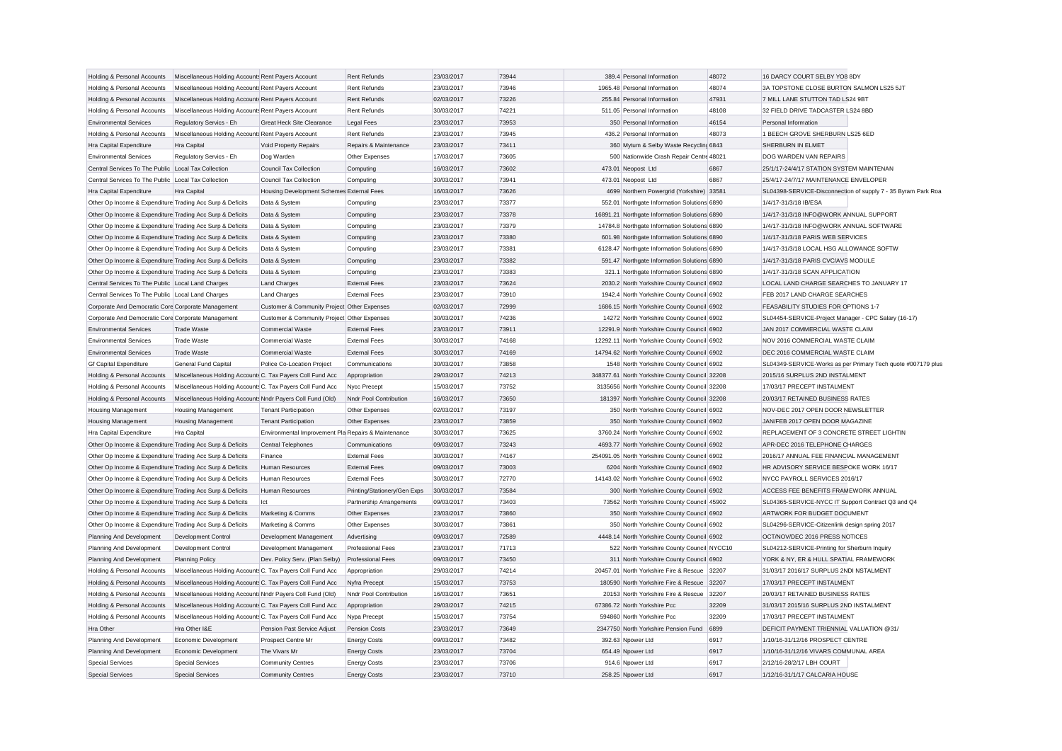| Holding & Personal Accounts                               | Miscellaneous Holding Accounts Rent Payers Account         |                                                     | <b>Rent Refunds</b>          | 23/03/2017               | 73944          | 389.4 Personal Information                                 | 48072          | 16 DARCY COURT SELBY YO8 8DY                                           |                                                               |
|-----------------------------------------------------------|------------------------------------------------------------|-----------------------------------------------------|------------------------------|--------------------------|----------------|------------------------------------------------------------|----------------|------------------------------------------------------------------------|---------------------------------------------------------------|
| Holding & Personal Accounts                               | Miscellaneous Holding Accounts Rent Payers Account         |                                                     | <b>Rent Refunds</b>          | 23/03/2017               | 73946          | 1965.48 Personal Information                               | 48074          | 3A TOPSTONE CLOSE BURTON SALMON LS25 5JT                               |                                                               |
| Holding & Personal Accounts                               | Miscellaneous Holding Accounts Rent Payers Account         |                                                     | <b>Rent Refunds</b>          | 02/03/2017               | 73226          | 255.84 Personal Information                                | 47931          | 7 MILL LANE STUTTON TAD LS24 9BT                                       |                                                               |
| Holding & Personal Accounts                               | Miscellaneous Holding Accounts Rent Payers Account         |                                                     | <b>Rent Refunds</b>          | 30/03/2017               | 74221          | 511.05 Personal Information                                | 48108          | 32 FIELD DRIVE TADCASTER LS24 8BD                                      |                                                               |
| <b>Environmental Services</b>                             | Regulatory Servics - Eh                                    | Great Heck Site Clearance                           | <b>Legal Fees</b>            | 23/03/2017               | 73953          | 350 Personal Information                                   | 46154          | Personal Information                                                   |                                                               |
| Holding & Personal Accounts                               | Miscellaneous Holding Accounts Rent Payers Account         |                                                     | <b>Rent Refunds</b>          | 23/03/2017               | 73945          | 436.2 Personal Information                                 | 48073          | 1 BEECH GROVE SHERBURN LS25 6ED                                        |                                                               |
| Hra Capital Expenditure                                   | Hra Capital                                                | Void Property Repairs                               | Repairs & Maintenance        | 23/03/2017               | 73411          | 360 Mytum & Selby Waste Recycling 6843                     |                | SHERBURN IN ELMET                                                      |                                                               |
| <b>Environmental Services</b>                             | Regulatory Servics - Eh                                    | Dog Warden                                          | Other Expenses               | 17/03/2017               | 73605          | 500 Nationwide Crash Repair Centre 48021                   |                | DOG WARDEN VAN REPAIRS                                                 |                                                               |
| Central Services To The Public Local Tax Collection       |                                                            | Council Tax Collection                              | Computing                    | 16/03/2017               | 73602          | 473.01 Neopost Ltd                                         | 6867           | 25/1/17-24/4/17 STATION SYSTEM MAINTENAN                               |                                                               |
| Central Services To The Public Local Tax Collection       |                                                            | Council Tax Collection                              | Computing                    | 30/03/2017               | 73941          | 473.01 Neopost Ltd                                         | 6867           | 25/4/17-24/7/17 MAINTENANCE ENVELOPER                                  |                                                               |
| Hra Capital Expenditure                                   | Hra Capital                                                | Housing Development Schemes External Fees           |                              | 16/03/2017               | 73626          | 4699 Northern Powergrid (Yorkshire)                        | 33581          |                                                                        | SL04398-SERVICE-Disconnection of supply 7 - 35 Byram Park Roa |
| Other Op Income & Expenditure Trading Acc Surp & Deficits |                                                            | Data & System                                       | Computing                    | 23/03/2017               | 73377          | 552.01 Northgate Information Solutions 6890                |                | 1/4/17-31/3/18 IB/ESA                                                  |                                                               |
| Other Op Income & Expenditure Trading Acc Surp & Deficits |                                                            | Data & System                                       | Computing                    | 23/03/2017               | 73378          | 16891.21 Northgate Information Solutions 6890              |                | 1/4/17-31/3/18 INFO@WORK ANNUAL SUPPORT                                |                                                               |
| Other Op Income & Expenditure Trading Acc Surp & Deficits |                                                            | Data & System                                       | Computing                    | 23/03/2017               | 73379          | 14784.8 Northgate Information Solutions 6890               |                | 1/4/17-31/3/18 INFO@WORK ANNUAL SOFTWARE                               |                                                               |
| Other Op Income & Expenditure Trading Acc Surp & Deficits |                                                            | Data & System                                       | Computing                    | 23/03/2017               | 73380          | 601.98 Northgate Information Solutions 6890                |                | 1/4/17-31/3/18 PARIS WEB SERVICES                                      |                                                               |
| Other Op Income & Expenditure Trading Acc Surp & Deficits |                                                            | Data & System                                       | Computing                    | 23/03/2017               | 73381          | 6128.47 Northgate Information Solutions 6890               |                | 1/4/17-31/3/18 LOCAL HSG ALLOWANCE SOFTW                               |                                                               |
| Other Op Income & Expenditure Trading Acc Surp & Deficits |                                                            | Data & System                                       | Computing                    | 23/03/2017               | 73382          | 591.47 Northgate Information Solutions 6890                |                | 1/4/17-31/3/18 PARIS CVC/AVS MODULE                                    |                                                               |
| Other Op Income & Expenditure Trading Acc Surp & Deficits |                                                            | Data & System                                       | Computing                    | 23/03/2017               | 73383          | 321.1 Northgate Information Solutions 6890                 |                | 1/4/17-31/3/18 SCAN APPLICATION                                        |                                                               |
| Central Services To The Public Local Land Charges         |                                                            | <b>Land Charges</b>                                 | <b>External Fees</b>         | 23/03/2017               | 73624          | 2030.2 North Yorkshire County Council 6902                 |                | LOCAL LAND CHARGE SEARCHES TO JANUARY 17                               |                                                               |
| Central Services To The Public Local Land Charges         |                                                            | <b>Land Charges</b>                                 | <b>External Fees</b>         | 23/03/2017               | 73910          | 1942.4 North Yorkshire County Council 6902                 |                | FEB 2017 LAND CHARGE SEARCHES                                          |                                                               |
| Corporate And Democratic Core Corporate Management        |                                                            | Customer & Community Project Other Expenses         |                              | 02/03/2017               | 72999          | 1686.15 North Yorkshire County Council 6902                |                | FEASABILITY STUDIES FOR OPTIONS 1-7                                    |                                                               |
| Corporate And Democratic Core Corporate Management        |                                                            | Customer & Community Project Other Expenses         |                              | 30/03/2017               | 74236          | 14272 North Yorkshire County Council 6902                  |                | SL04454-SERVICE-Project Manager - CPC Salary (16-17)                   |                                                               |
| <b>Environmental Services</b>                             | <b>Trade Waste</b>                                         | <b>Commercial Waste</b>                             | <b>External Fees</b>         | 23/03/2017               | 73911          | 12291.9 North Yorkshire County Council 6902                |                | JAN 2017 COMMERCIAL WASTE CLAIM                                        |                                                               |
| <b>Environmental Services</b>                             | <b>Trade Waste</b>                                         | <b>Commercial Waste</b>                             | <b>External Fees</b>         | 30/03/2017               | 74168          | 12292.11 North Yorkshire County Council 6902               |                | NOV 2016 COMMERCIAL WASTE CLAIM                                        |                                                               |
| <b>Environmental Services</b>                             | <b>Trade Waste</b>                                         | Commercial Waste                                    | <b>External Fees</b>         | 30/03/2017               | 74169          | 14794.62 North Yorkshire County Council 6902               |                | DEC 2016 COMMERCIAL WASTE CLAIM                                        |                                                               |
| <b>Gf Capital Expenditure</b>                             | General Fund Capital                                       | Police Co-Location Project                          | Communications               | 30/03/2017               | 73858          | 1548 North Yorkshire County Council 6902                   |                |                                                                        | SL04349-SERVICE-Works as per Primary Tech quote #007179 plus  |
| Holding & Personal Accounts                               | Miscellaneous Holding Accounts C. Tax Payers Coll Fund Acc |                                                     | Appropriation                | 29/03/2017               | 74213          | 348377.61 North Yorkshire County Council 32208             |                | 2015/16 SURPLUS 2ND INSTALMENT                                         |                                                               |
| Holding & Personal Accounts                               | Miscellaneous Holding Accounts C. Tax Payers Coll Fund Acc |                                                     | Nycc Precept                 | 15/03/2017               | 73752          | 3135656 North Yorkshire County Council 32208               |                | 17/03/17 PRECEPT INSTALMENT                                            |                                                               |
| Holding & Personal Accounts                               | Miscellaneous Holding Accounts Nndr Payers Coll Fund (Old) |                                                     | Nndr Pool Contribution       | 16/03/2017               | 73650          | 181397 North Yorkshire County Council 32208                |                | 20/03/17 RETAINED BUSINESS RATES                                       |                                                               |
| <b>Housing Management</b>                                 | <b>Housing Management</b>                                  | <b>Tenant Participation</b>                         | Other Expenses               | 02/03/2017               | 73197          | 350 North Yorkshire County Council 6902                    |                | NOV-DEC 2017 OPEN DOOR NEWSLETTER                                      |                                                               |
| <b>Housing Management</b>                                 | <b>Housing Management</b>                                  | <b>Tenant Participation</b>                         | Other Expenses               | 23/03/2017               | 73859          | 350 North Yorkshire County Council 6902                    |                | JAN/FEB 2017 OPEN DOOR MAGAZINE                                        |                                                               |
| Hra Capital Expenditure                                   | Hra Capital                                                | Environmental Improvement Pla Repairs & Maintenance |                              | 30/03/2017               | 73625          | 3760.24 North Yorkshire County Council 6902                |                | REPLACEMENT OF 3 CONCRETE STREET LIGHTIN                               |                                                               |
| Other Op Income & Expenditure Trading Acc Surp & Deficits |                                                            | <b>Central Telephones</b>                           | Communications               | 09/03/2017               | 73243          | 4693.77 North Yorkshire County Council 6902                |                | APR-DEC 2016 TELEPHONE CHARGES                                         |                                                               |
| Other Op Income & Expenditure Trading Acc Surp & Deficits |                                                            | Finance                                             | <b>External Fees</b>         | 30/03/2017               | 74167          | 254091.05 North Yorkshire County Council 6902              |                | 2016/17 ANNUAL FEE FINANCIAL MANAGEMENT                                |                                                               |
| Other Op Income & Expenditure Trading Acc Surp & Deficits |                                                            | <b>Human Resources</b>                              | <b>External Fees</b>         | 09/03/2017               | 73003          | 6204 North Yorkshire County Council 6902                   |                | HR ADVISORY SERVICE BESPOKE WORK 16/17                                 |                                                               |
| Other Op Income & Expenditure Trading Acc Surp & Deficits |                                                            | <b>Human Resources</b>                              | <b>External Fees</b>         | 30/03/2017               | 72770          | 14143.02 North Yorkshire County Council 6902               |                | NYCC PAYROLL SERVICES 2016/17                                          |                                                               |
| Other Op Income & Expenditure Trading Acc Surp & Deficits |                                                            | <b>Human Resources</b>                              | Printing/Stationery/Gen Exps | 30/03/2017               | 73584          | 300 North Yorkshire County Council 6902                    |                | ACCESS FEE BENEFITS FRAMEWORK ANNUAL                                   |                                                               |
| Other Op Income & Expenditure Trading Acc Surp & Deficits |                                                            | lct                                                 | Partnership Arrangements     | 09/03/2017               | 73403          | 73562 North Yorkshire County Council 45902                 |                | SL04365-SERVICE-NYCC IT Support Contract Q3 and Q4                     |                                                               |
| Other Op Income & Expenditure Trading Acc Surp & Deficits |                                                            | Marketing & Comms                                   | Other Expenses               | 23/03/2017               | 73860          | 350 North Yorkshire County Council 6902                    |                | ARTWORK FOR BUDGET DOCUMENT                                            |                                                               |
| Other Op Income & Expenditure Trading Acc Surp & Deficits |                                                            | Marketing & Comms                                   | Other Expenses               | 30/03/2017               | 73861          | 350 North Yorkshire County Council 6902                    |                | SL04296-SERVICE-Citizenlink design spring 2017                         |                                                               |
| Planning And Development                                  | <b>Development Control</b>                                 | Development Management                              | Advertising                  | 09/03/2017               | 72589          | 4448.14 North Yorkshire County Council 6902                |                | OCT/NOV/DEC 2016 PRESS NOTICES                                         |                                                               |
| Planning And Development                                  | Development Control                                        | Development Management                              | <b>Professional Fees</b>     | 23/03/2017               | 71713          | 522 North Yorkshire County Council NYCC10                  |                | SL04212-SERVICE-Printing for Sherburn Inquiry                          |                                                               |
| Planning And Development                                  | <b>Planning Policy</b>                                     | Dev. Policy Serv. (Plan Selby)                      | <b>Professional Fees</b>     | 09/03/2017               | 73450          | 311 North Yorkshire County Council 6902                    |                | YORK & NY, ER & HULL SPATIAL FRAMEWORK                                 |                                                               |
| Holding & Personal Accounts                               | Miscellaneous Holding Accounts C. Tax Payers Coll Fund Acc |                                                     | Appropriation                | 29/03/2017               | 74214          | 20457.01 North Yorkshire Fire & Rescue 32207               |                | 31/03/17 2016/17 SURPLUS 2NDI NSTALMENT                                |                                                               |
| Holding & Personal Accounts                               | Miscellaneous Holding Accounts C. Tax Payers Coll Fund Acc |                                                     | Nyfra Precept                | 15/03/2017               | 73753          | 180590 North Yorkshire Fire & Rescue                       | 32207          | 17/03/17 PRECEPT INSTALMENT                                            |                                                               |
|                                                           |                                                            |                                                     | Nndr Pool Contribution       | 16/03/2017               | 73651          | 20153 North Yorkshire Fire & Rescue                        | 32207          |                                                                        |                                                               |
| Holding & Personal Accounts                               | Miscellaneous Holding Accounts Nndr Payers Coll Fund (Old) |                                                     |                              |                          |                |                                                            |                | 20/03/17 RETAINED BUSINESS RATES                                       |                                                               |
| Holding & Personal Accounts                               | Miscellaneous Holding Accounts C. Tax Payers Coll Fund Acc |                                                     | Appropriation                | 29/03/2017<br>15/03/2017 | 74215<br>73754 | 67386.72 North Yorkshire Pcc<br>594860 North Yorkshire Pcc | 32209<br>32209 | 31/03/17 2015/16 SURPLUS 2ND INSTALMENT<br>17/03/17 PRECEPT INSTALMENT |                                                               |
| Holding & Personal Accounts                               | Miscellaneous Holding Accounts C. Tax Payers Coll Fund Acc |                                                     | Nypa Precept                 |                          |                |                                                            |                |                                                                        |                                                               |
| Hra Other                                                 | Hra Other I&E                                              | Pension Past Service Adjust                         | <b>Pension Costs</b>         | 23/03/2017               | 73649          | 2347750 North Yorkshire Pension Fund                       | 6899           | DEFICIT PAYMENT TRIENNIAL VALUATION @31/                               |                                                               |
| Planning And Development                                  | Economic Development                                       | Prospect Centre Mr                                  | <b>Energy Costs</b>          | 09/03/2017               | 73482          | 392.63 Npower Ltd                                          | 6917           | 1/10/16-31/12/16 PROSPECT CENTRE                                       |                                                               |
| Planning And Development                                  | Economic Development                                       | The Vivars Mr                                       | <b>Energy Costs</b>          | 23/03/2017               | 73704          | 654.49 Npower Ltd                                          | 6917           | 1/10/16-31/12/16 VIVARS COMMUNAL AREA                                  |                                                               |
| <b>Special Services</b>                                   | <b>Special Services</b>                                    | <b>Community Centres</b>                            | <b>Energy Costs</b>          | 23/03/2017               | 73706          | 914.6 Npower Ltd                                           | 6917           | 2/12/16-28/2/17 LBH COURT                                              |                                                               |
| <b>Special Services</b>                                   | <b>Special Services</b>                                    | <b>Community Centres</b>                            | <b>Energy Costs</b>          | 23/03/2017               | 73710          | 258.25 Noower Ltd                                          | 6917           | 1/12/16-31/1/17 CALCARIA HOUSE                                         |                                                               |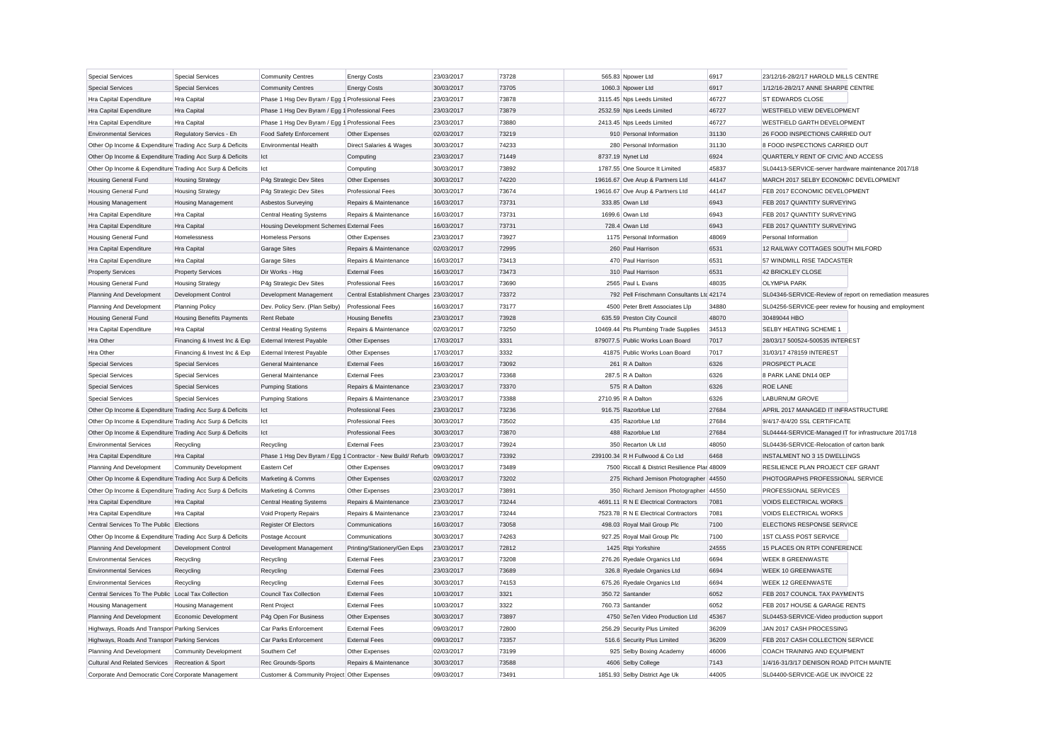| <b>Special Services</b>                                   | <b>Special Services</b>          | <b>Community Centres</b>                        | <b>Energy Costs</b>                                                     | 23/03/2017 | 73728 | 565.83 Npower Ltd                             | 6917  | 23/12/16-28/2/17 HAROLD MILLS CENTRE                     |
|-----------------------------------------------------------|----------------------------------|-------------------------------------------------|-------------------------------------------------------------------------|------------|-------|-----------------------------------------------|-------|----------------------------------------------------------|
| <b>Special Services</b>                                   | <b>Special Services</b>          | <b>Community Centres</b>                        | <b>Energy Costs</b>                                                     | 30/03/2017 | 73705 | 1060.3 Npower Ltd                             | 6917  | 1/12/16-28/2/17 ANNE SHARPE CENTRE                       |
| Hra Capital Expenditure                                   | Hra Capital                      | Phase 1 Hsg Dev Byram / Egg 1 Professional Fees |                                                                         | 23/03/2017 | 73878 | 3115.45 Nps Leeds Limited                     | 46727 | ST EDWARDS CLOSE                                         |
| Hra Capital Expenditure                                   | <b>Hra Capital</b>               | Phase 1 Hsg Dev Byram / Egg 1 Professional Fees |                                                                         | 23/03/2017 | 73879 | 2532.59 Nps Leeds Limited                     | 46727 | WESTFIELD VIEW DEVELOPMENT                               |
| Hra Capital Expenditure                                   | Hra Capital                      | Phase 1 Hsg Dev Byram / Egg 1 Professional Fees |                                                                         | 23/03/2017 | 73880 | 2413.45 Nps Leeds Limited                     | 46727 | WESTFIELD GARTH DEVELOPMENT                              |
| <b>Environmental Services</b>                             | Regulatory Servics - Eh          | Food Safety Enforcement                         | Other Expenses                                                          | 02/03/2017 | 73219 | 910 Personal Information                      | 31130 | 26 FOOD INSPECTIONS CARRIED OUT                          |
| Other Op Income & Expenditure Trading Acc Surp & Deficits |                                  | <b>Environmental Health</b>                     | Direct Salaries & Wages                                                 | 30/03/2017 | 74233 | 280 Personal Information                      | 31130 | 8 FOOD INSPECTIONS CARRIED OUT                           |
| Other Op Income & Expenditure Trading Acc Surp & Deficits |                                  | Ict                                             | Computing                                                               | 23/03/2017 | 71449 | 8737.19 Nynet Ltd                             | 6924  | QUARTERLY RENT OF CIVIC AND ACCESS                       |
| Other Op Income & Expenditure Trading Acc Surp & Deficits |                                  | Ict                                             | Computing                                                               | 30/03/2017 | 73892 | 1787.55 One Source It Limited                 | 45837 | SL04413-SERVICE-server hardware maintenance 2017/18      |
| <b>Housing General Fund</b>                               | <b>Housing Strategy</b>          | P4g Strategic Dev Sites                         | Other Expenses                                                          | 30/03/2017 | 74220 | 19616.67 Ove Arup & Partners Ltd              | 44147 | MARCH 2017 SELBY ECONOMIC DEVELOPMENT                    |
| <b>Housing General Fund</b>                               | <b>Housing Strategy</b>          | P4g Strategic Dev Sites                         | Professional Fees                                                       | 30/03/2017 | 73674 | 19616.67 Ove Arup & Partners Ltd              | 44147 | FEB 2017 ECONOMIC DEVELOPMENT                            |
| <b>Housing Management</b>                                 | <b>Housing Management</b>        | Asbestos Surveying                              | Repairs & Maintenance                                                   | 16/03/2017 | 73731 | 333.85 Owan Ltd                               | 6943  | FEB 2017 QUANTITY SURVEYING                              |
| Hra Capital Expenditure                                   | Hra Capital                      | <b>Central Heating Systems</b>                  | Repairs & Maintenance                                                   | 16/03/2017 | 73731 | 1699.6 Owan Ltd                               | 6943  | FEB 2017 QUANTITY SURVEYING                              |
| Hra Capital Expenditure                                   | <b>Hra</b> Capital               | Housing Development Schemes External Fees       |                                                                         | 16/03/2017 | 73731 | 728.4 Owan Ltd                                | 6943  | FEB 2017 QUANTITY SURVEYING                              |
| <b>Housing General Fund</b>                               | Homelessness                     | <b>Homeless Persons</b>                         | Other Expenses                                                          | 23/03/2017 | 73927 | 1175 Personal Information                     | 48069 | Personal Information                                     |
| Hra Capital Expenditure                                   | <b>Hra Capital</b>               | <b>Garage Sites</b>                             | Repairs & Maintenance                                                   | 02/03/2017 | 72995 | 260 Paul Harrison                             | 6531  | 12 RAILWAY COTTAGES SOUTH MILFORD                        |
| Hra Capital Expenditure                                   | Hra Capital                      | <b>Garage Sites</b>                             | Repairs & Maintenance                                                   | 16/03/2017 | 73413 | 470 Paul Harrison                             | 6531  | 57 WINDMILL RISE TADCASTER                               |
| <b>Property Services</b>                                  | <b>Property Services</b>         | Dir Works - Hsg                                 | <b>External Fees</b>                                                    | 16/03/2017 | 73473 | 310 Paul Harrison                             | 6531  | 42 BRICKLEY CLOSE                                        |
| Housing General Fund                                      | <b>Housing Strategy</b>          | P4g Strategic Dev Sites                         | <b>Professional Fees</b>                                                | 16/03/2017 | 73690 | 2565 Paul L Evans                             | 48035 | <b>OLYMPIA PARK</b>                                      |
| Planning And Development                                  | Development Control              | Development Management                          | Central Establishment Charges 23/03/2017                                |            | 73372 | 792 Pell Frischmann Consultants Ltd 42174     |       | SL04346-SERVICE-Review of report on remediation measures |
| Planning And Development                                  | <b>Planning Policy</b>           | Dev. Policy Serv. (Plan Selby)                  | <b>Professional Fees</b>                                                | 16/03/2017 | 73177 | 4500 Peter Brett Associates Llp               | 34880 | SL04256-SERVICE-peer review for housing and employment   |
| <b>Housing General Fund</b>                               | <b>Housing Benefits Payments</b> | <b>Rent Rebate</b>                              | <b>Housing Benefits</b>                                                 | 23/03/2017 | 73928 | 635.59 Preston City Council                   | 48070 | 30489044 HBO                                             |
| Hra Capital Expenditure                                   | Hra Capital                      | <b>Central Heating Systems</b>                  | Repairs & Maintenance                                                   | 02/03/2017 | 73250 | 10469.44 Pts Plumbing Trade Supplies          | 34513 | SELBY HEATING SCHEME 1                                   |
| Hra Other                                                 | Financing & Invest Inc & Exp     | <b>External Interest Payable</b>                | Other Expenses                                                          | 17/03/2017 | 3331  | 879077.5 Public Works Loan Board              | 7017  | 28/03/17 500524-500535 INTEREST                          |
| Hra Other                                                 | Financing & Invest Inc & Exp     | <b>External Interest Payable</b>                | Other Expenses                                                          | 17/03/2017 | 3332  | 41875 Public Works Loan Board                 | 7017  | 31/03/17 478159 INTEREST                                 |
| <b>Special Services</b>                                   | <b>Special Services</b>          | General Maintenance                             | <b>External Fees</b>                                                    | 16/03/2017 | 73092 | 261 R A Dalton                                | 6326  | PROSPECT PLACE                                           |
| <b>Special Services</b>                                   | <b>Special Services</b>          | General Maintenance                             | <b>External Fees</b>                                                    | 23/03/2017 | 73368 | 287.5 R A Dalton                              | 6326  | 8 PARK LANE DN14 0EP                                     |
| <b>Special Services</b>                                   | <b>Special Services</b>          | <b>Pumping Stations</b>                         | Repairs & Maintenance                                                   | 23/03/2017 | 73370 | 575 R A Dalton                                | 6326  | <b>ROE LANE</b>                                          |
| <b>Special Services</b>                                   | <b>Special Services</b>          | <b>Pumping Stations</b>                         | Repairs & Maintenance                                                   | 23/03/2017 | 73388 | 2710.95 R A Dalton                            | 6326  | <b>LABURNUM GROVE</b>                                    |
| Other Op Income & Expenditure Trading Acc Surp & Deficits |                                  | lct                                             | <b>Professional Fees</b>                                                | 23/03/2017 | 73236 | 916.75 Razorblue Ltd                          | 27684 | APRIL 2017 MANAGED IT INFRASTRUCTURE                     |
| Other Op Income & Expenditure Trading Acc Surp & Deficits |                                  | Ict                                             | <b>Professional Fees</b>                                                | 30/03/2017 | 73502 | 435 Razorblue Ltd                             | 27684 | 9/4/17-8/4/20 SSL CERTIFICATE                            |
| Other Op Income & Expenditure Trading Acc Surp & Deficits |                                  | Ict                                             | Professional Fees                                                       | 30/03/2017 | 73870 | 488 Razorblue Ltd                             | 27684 | SL04444-SERVICE-Managed IT for infrastructure 2017/18    |
| <b>Environmental Services</b>                             | Recycling                        | Recycling                                       | <b>External Fees</b>                                                    | 23/03/2017 | 73924 | 350 Recarton Uk Ltd                           | 48050 | SL04436-SERVICE-Relocation of carton bank                |
| Hra Capital Expenditure                                   | Hra Capital                      |                                                 | Phase 1 Hsg Dev Byram / Egg 1 Contractor - New Build/ Refurb 09/03/2017 |            | 73392 | 239100.34 R H Fullwood & Co Ltd               | 6468  | INSTALMENT NO 3 15 DWELLINGS                             |
| Planning And Development                                  | <b>Community Development</b>     | Eastern Cef                                     | Other Expenses                                                          | 09/03/2017 | 73489 | 7500 Riccall & District Resilience Plar 48009 |       | RESILIENCE PLAN PROJECT CEF GRANT                        |
| Other Op Income & Expenditure Trading Acc Surp & Deficits |                                  | Marketing & Comms                               | Other Expenses                                                          | 02/03/2017 | 73202 | 275 Richard Jemison Photographer 44550        |       | PHOTOGRAPHS PROFESSIONAL SERVICE                         |
| Other Op Income & Expenditure Trading Acc Surp & Deficits |                                  | Marketing & Comms                               | Other Expenses                                                          | 23/03/2017 | 73891 | 350 Richard Jemison Photographer 44550        |       | <b>PROFESSIONAL SERVICES</b>                             |
| Hra Capital Expenditure                                   | Hra Capital                      | <b>Central Heating Systems</b>                  | Repairs & Maintenance                                                   | 23/03/2017 | 73244 | 4691.11 R N E Electrical Contractors          | 7081  | <b>VOIDS ELECTRICAL WORKS</b>                            |
| Hra Capital Expenditure                                   | Hra Capital                      | Void Property Repairs                           | Repairs & Maintenance                                                   | 23/03/2017 | 73244 | 7523.78 R N E Electrical Contractors          | 7081  | VOIDS ELECTRICAL WORKS                                   |
| Central Services To The Public Elections                  |                                  | Register Of Electors                            | Communications                                                          | 16/03/2017 | 73058 | 498.03 Royal Mail Group Plc                   | 7100  | ELECTIONS RESPONSE SERVICE                               |
| Other Op Income & Expenditure Trading Acc Surp & Deficits |                                  | Postage Account                                 | Communications                                                          | 30/03/2017 | 74263 | 927.25 Royal Mail Group Plc                   | 7100  | 1ST CLASS POST SERVICE                                   |
| Planning And Development                                  | Development Control              | Development Management                          | Printing/Stationery/Gen Exps                                            | 23/03/2017 | 72812 | 1425 Rtpi Yorkshire                           | 24555 | 15 PLACES ON RTPI CONFERENCE                             |
| <b>Environmental Services</b>                             | Recycling                        | Recycling                                       | <b>External Fees</b>                                                    | 23/03/2017 | 73208 | 276.26 Ryedale Organics Ltd                   | 6694  | <b>WEEK 8 GREENWASTE</b>                                 |
| <b>Environmental Services</b>                             | Recycling                        | Recycling                                       | <b>External Fees</b>                                                    | 23/03/2017 | 73689 | 326.8 Ryedale Organics Ltd                    | 6694  | <b>WEEK 10 GREENWASTE</b>                                |
| <b>Environmental Services</b>                             | Recycling                        | Recycling                                       | <b>External Fees</b>                                                    | 30/03/2017 | 74153 | 675.26 Ryedale Organics Ltd                   | 6694  | <b>WEEK 12 GREENWASTE</b>                                |
| Central Services To The Public Local Tax Collection       |                                  | Council Tax Collection                          | <b>External Fees</b>                                                    | 10/03/2017 | 3321  | 350.72 Santander                              | 6052  | FEB 2017 COUNCIL TAX PAYMENTS                            |
| <b>Housing Management</b>                                 | <b>Housing Management</b>        | <b>Rent Project</b>                             | <b>External Fees</b>                                                    | 10/03/2017 | 3322  | 760.73 Santander                              | 6052  | FEB 2017 HOUSE & GARAGE RENTS                            |
| Planning And Development                                  | Economic Development             | P4g Open For Business                           | Other Expenses                                                          | 30/03/2017 | 73897 | 4750 Se7en Video Production Ltd               | 45367 | SL04453-SERVICE-Video production support                 |
| Highways, Roads And Transpor Parking Services             |                                  | Car Parks Enforcement                           | <b>External Fees</b>                                                    | 09/03/2017 | 72800 | 256.29 Security Plus Limited                  | 36209 | JAN 2017 CASH PROCESSING                                 |
| Highways, Roads And Transpor Parking Services             |                                  | Car Parks Enforcement                           | <b>External Fees</b>                                                    | 09/03/2017 | 73357 | 516.6 Security Plus Limited                   | 36209 | FEB 2017 CASH COLLECTION SERVICE                         |
| Planning And Development                                  | <b>Community Development</b>     | Southern Cef                                    | Other Expenses                                                          | 02/03/2017 | 73199 | 925 Selby Boxing Academy                      | 46006 | COACH TRAINING AND EQUIPMENT                             |
| Cultural And Related Services Recreation & Sport          |                                  | Rec Grounds-Sports                              | Repairs & Maintenance                                                   | 30/03/2017 | 73588 | 4606 Selby College                            | 7143  | 1/4/16-31/3/17 DENISON ROAD PITCH MAINTE                 |
| Corporate And Democratic Core Corporate Management        |                                  | Customer & Community Project Other Expenses     |                                                                         | 09/03/2017 | 73491 | 1851.93 Selby District Age Uk                 | 44005 | SL04400-SERVICE-AGE UK INVOICE 22                        |
|                                                           |                                  |                                                 |                                                                         |            |       |                                               |       |                                                          |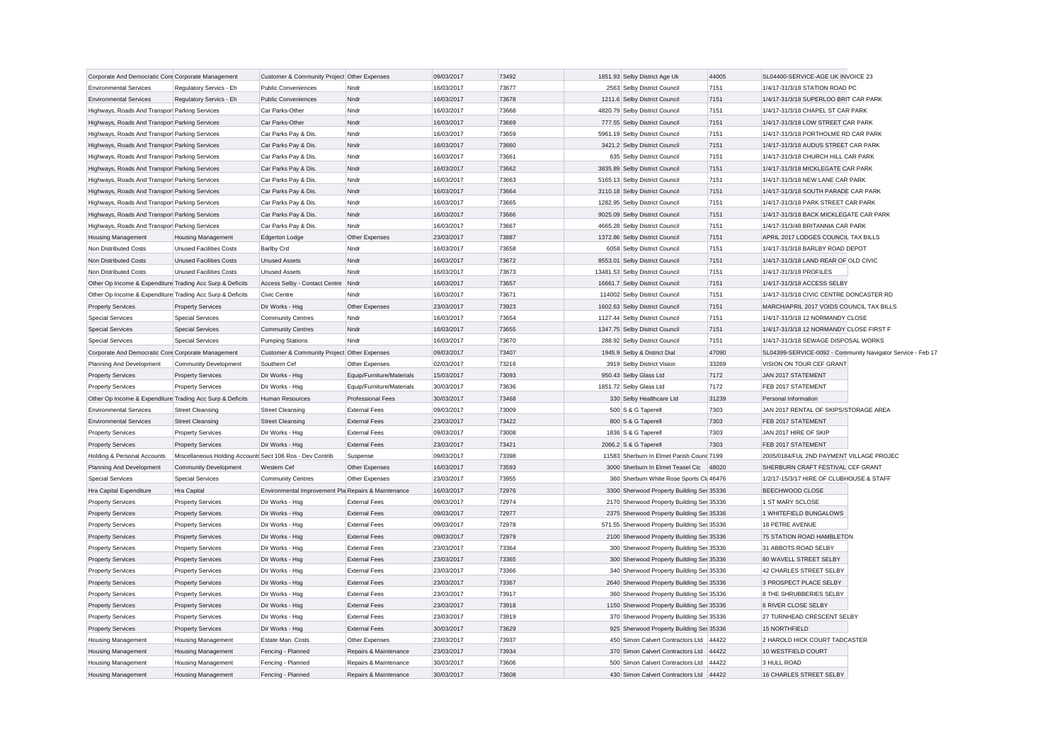| Corporate And Democratic Core Corporate Management        |                                                           | Customer & Community Project Other Expenses         |                           | 09/03/2017 | 73492 | 1851.93 Selby District Age Uk               | 44005 | SL04400-SERVICE-AGE UK INVOICE 23        |                                                             |
|-----------------------------------------------------------|-----------------------------------------------------------|-----------------------------------------------------|---------------------------|------------|-------|---------------------------------------------|-------|------------------------------------------|-------------------------------------------------------------|
| <b>Environmental Services</b>                             | Regulatory Servics - Eh                                   | <b>Public Conveniences</b>                          | Nndr                      | 16/03/2017 | 73677 | 2563 Selby District Council                 | 7151  | 1/4/17-31/3/18 STATION ROAD PC           |                                                             |
| <b>Environmental Services</b>                             | Regulatory Servics - Eh                                   | <b>Public Conveniences</b>                          | Nndr                      | 16/03/2017 | 73678 | 1211.6 Selby District Council               | 7151  | 1/4/17-31/3/18 SUPERLOO BRIT CAR PARK    |                                                             |
| Highways, Roads And Transpor Parking Services             |                                                           | Car Parks-Other                                     | Nndr                      | 16/03/2017 | 73668 | 4820.79 Selby District Council              | 7151  | 1/4/17-31/3/18 CHAPEL ST CAR PARK        |                                                             |
| Highways, Roads And Transpor Parking Services             |                                                           | Car Parks-Other                                     | Nndr                      | 16/03/2017 | 73669 | 777.55 Selby District Council               | 7151  | 1/4/17-31/3/18 LOW STREET CAR PARK       |                                                             |
| Highways, Roads And Transpor Parking Services             |                                                           | Car Parks Pay & Dis.                                | Nndr                      | 16/03/2017 | 73659 | 5961.19 Selby District Council              | 7151  | 1/4/17-31/3/18 PORTHOLME RD CAR PARK     |                                                             |
| Highways, Roads And Transpor Parking Services             |                                                           | Car Parks Pay & Dis.                                | Nndr                      | 16/03/2017 | 73660 | 3421.2 Selby District Council               | 7151  | 1/4/17-31/3/18 AUDUS STREET CAR PARK     |                                                             |
| Highways, Roads And Transpor Parking Services             |                                                           | Car Parks Pay & Dis.                                | Nndr                      | 16/03/2017 | 73661 | 635 Selby District Council                  | 7151  | 1/4/17-31/3/18 CHURCH HILL CAR PARK      |                                                             |
| Highways, Roads And Transpor Parking Services             |                                                           | Car Parks Pay & Dis.                                | Nndr                      | 16/03/2017 | 73662 | 3835.89 Selby District Council              | 7151  | 1/4/17-31/3/18 MICKLEGATE CAR PARK       |                                                             |
| Highways, Roads And Transpor Parking Services             |                                                           | Car Parks Pay & Dis.                                | Nndr                      | 16/03/2017 | 73663 | 5165.13 Selby District Council              | 7151  | 1/4/17-31/3/18 NEW LANE CAR PARK         |                                                             |
| Highways, Roads And Transpor Parking Services             |                                                           | Car Parks Pay & Dis.                                | Nndr                      | 16/03/2017 | 73664 | 3110.18 Selby District Council              | 7151  | 1/4/17-31/3/18 SOUTH PARADE CAR PARK     |                                                             |
| Highways, Roads And Transpor Parking Services             |                                                           | Car Parks Pay & Dis.                                | Nndr                      | 16/03/2017 | 73665 | 1282.95 Selby District Council              | 7151  | 1/4/17-31/3/18 PARK STREET CAR PARK      |                                                             |
| Highways, Roads And Transpor Parking Services             |                                                           | Car Parks Pay & Dis.                                | Nndr                      | 16/03/2017 | 73666 | 9025.09 Selby District Council              | 7151  | 1/4/17-31/3/18 BACK MICKLEGATE CAR PARK  |                                                             |
| Highways, Roads And Transpor Parking Services             |                                                           | Car Parks Pay & Dis.                                | Nndr                      | 16/03/2017 | 73667 | 4665.28 Selby District Council              | 7151  | 1/4/17-31/3/48 BRITANNIA CAR PARK        |                                                             |
| <b>Housing Management</b>                                 | <b>Housing Management</b>                                 | Edgerton Lodge                                      | Other Expenses            | 23/03/2017 | 73887 | 1372.86 Selby District Council              | 7151  | APRIL 2017 LODGES COUNCIL TAX BILLS      |                                                             |
| Non Distributed Costs                                     | <b>Unused Facilities Costs</b>                            | <b>Barlby Crd</b>                                   | Nndr                      | 16/03/2017 | 73658 | 6058 Selby District Council                 | 7151  | 1/4/17-31/3/18 BARLBY ROAD DEPOT         |                                                             |
| Non Distributed Costs                                     | Unused Facilities Costs                                   | <b>Unused Assets</b>                                | Nndr                      | 16/03/2017 | 73672 | 8553.01 Selby District Council              | 7151  | 1/4/17-31/3/18 LAND REAR OF OLD CIVIC    |                                                             |
| Non Distributed Costs                                     | <b>Unused Facilities Costs</b>                            | <b>Unused Assets</b>                                | Nndr                      | 16/03/2017 | 73673 | 13481.53 Selby District Council             | 7151  | 1/4/17-31/3/18 PROFILES                  |                                                             |
| Other Op Income & Expenditure Trading Acc Surp & Deficits |                                                           | Access Selby - Contact Centre Nndr                  |                           | 16/03/2017 | 73657 | 16661.7 Selby District Council              | 7151  | 1/4/17-31/3/18 ACCESS SELBY              |                                                             |
| Other Op Income & Expenditure Trading Acc Surp & Deficits |                                                           | <b>Civic Centre</b>                                 | Nndr                      | 16/03/2017 | 73671 | 114002 Selby District Council               | 7151  | 1/4/17-31/3/18 CIVIC CENTRE DONCASTER RD |                                                             |
| <b>Property Services</b>                                  | <b>Property Services</b>                                  | Dir Works - Hsg                                     | Other Expenses            | 23/03/2017 | 73923 | 1602.63 Selby District Council              | 7151  | MARCH/APRIL 2017 VOIDS COUNCIL TAX BILLS |                                                             |
| <b>Special Services</b>                                   | <b>Special Services</b>                                   | <b>Community Centres</b>                            | Nndr                      | 16/03/2017 | 73654 | 1127.44 Selby District Council              | 7151  | 1/4/17-31/3/18 12 NORMANDY CLOSE         |                                                             |
| <b>Special Services</b>                                   | <b>Special Services</b>                                   | <b>Community Centres</b>                            | Nndr                      | 16/03/2017 | 73655 | 1347.75 Selby District Council              | 7151  | 1/4/17-31/3/18 12 NORMANDY CLOSE FIRST F |                                                             |
| <b>Special Services</b>                                   | <b>Special Services</b>                                   | <b>Pumping Stations</b>                             | Nndr                      | 16/03/2017 | 73670 | 288.92 Selby District Council               | 7151  | 1/4/17-31/3/18 SEWAGE DISPOSAL WORKS     |                                                             |
| Corporate And Democratic Core Corporate Management        |                                                           | Customer & Community Project Other Expenses         |                           | 09/03/2017 | 73407 | 1945.9 Selby & District Dial                | 47090 |                                          | SL04399-SERVICE-0092 - Community Navigator Service - Feb 17 |
| Planning And Development                                  | <b>Community Development</b>                              | Southern Cef                                        | Other Expenses            | 02/03/2017 | 73216 | 3919 Selby District Vision                  | 33269 | VISION ON TOUR CEF GRANT                 |                                                             |
| <b>Property Services</b>                                  | <b>Property Services</b>                                  | Dir Works - Hsa                                     | Equip/Furniture/Materials | 15/03/2017 | 73093 | 950.43 Selby Glass Ltd                      | 7172  | JAN 2017 STATEMENT                       |                                                             |
| <b>Property Services</b>                                  | <b>Property Services</b>                                  | Dir Works - Hsg                                     | Equip/Furniture/Materials | 30/03/2017 | 73636 | 1851.72 Selby Glass Ltd                     | 7172  | FEB 2017 STATEMENT                       |                                                             |
| Other Op Income & Expenditure Trading Acc Surp & Deficits |                                                           | Human Resources                                     | <b>Professional Fees</b>  | 30/03/2017 | 73468 | 330 Selby Healthcare Ltd                    | 31239 | Personal Information                     |                                                             |
| <b>Environmental Services</b>                             | <b>Street Cleansing</b>                                   | <b>Street Cleansing</b>                             | <b>External Fees</b>      | 09/03/2017 | 73009 | 500 S & G Taperell                          | 7303  | JAN 2017 RENTAL OF SKIPS/STORAGE AREA    |                                                             |
| <b>Environmental Services</b>                             | <b>Street Cleansing</b>                                   | <b>Street Cleansing</b>                             | <b>External Fees</b>      | 23/03/2017 | 73422 | 800 S & G Taperell                          | 7303  | FEB 2017 STATEMENT                       |                                                             |
| <b>Property Services</b>                                  | <b>Property Services</b>                                  | Dir Works - Hsg                                     | <b>External Fees</b>      | 09/03/2017 | 73008 | 1836 S & G Taperell                         | 7303  | JAN 2017 HIRE OF SKIP                    |                                                             |
| <b>Property Services</b>                                  | <b>Property Services</b>                                  | Dir Works - Hsg                                     | <b>External Fees</b>      | 23/03/2017 | 73421 | 2066.2 S & G Taperell                       | 7303  | FEB 2017 STATEMENT                       |                                                             |
| Holding & Personal Accounts                               | Miscellaneous Holding Accounts Sect 106 Ros - Dev Contrib |                                                     | Suspense                  | 09/03/2017 | 73398 | 11583 Sherburn In Elmet Parish Cound 7199   |       | 2005/0184/FUL 2ND PAYMENT VILLAGE PROJEC |                                                             |
| Planning And Development                                  | <b>Community Development</b>                              | Western Cef                                         | Other Expenses            | 16/03/2017 | 73593 | 3000 Sherburn In Elmet Teasel Cic           | 48020 | SHERBURN CRAFT FESTIVAL CEF GRANT        |                                                             |
| <b>Special Services</b>                                   | <b>Special Services</b>                                   | <b>Community Centres</b>                            | Other Expenses            | 23/03/2017 | 73955 | 360 Sherburn White Rose Sports Cli 46476    |       | 1/2/17-15/3/17 HIRE OF CLUBHOUSE & STAFF |                                                             |
| Hra Capital Expenditure                                   | Hra Capital                                               | Environmental Improvement Pla Repairs & Maintenance |                           | 16/03/2017 | 72976 | 3300 Sherwood Property Building Ser 35336   |       | <b>BEECHWOOD CLOSE</b>                   |                                                             |
| <b>Property Services</b>                                  | <b>Property Services</b>                                  | Dir Works - Hsg                                     | <b>External Fees</b>      | 09/03/2017 | 72974 | 2170 Sherwood Property Building Ser 35336   |       | 1 ST MARY SCLOSE                         |                                                             |
| <b>Property Services</b>                                  | <b>Property Services</b>                                  | Dir Works - Hsg                                     | <b>External Fees</b>      | 09/03/2017 | 72977 | 2375 Sherwood Property Building Ser 35336   |       | 1 WHITEFIELD BUNGALOWS                   |                                                             |
| <b>Property Services</b>                                  | <b>Property Services</b>                                  | Dir Works - Hsg                                     | <b>External Fees</b>      | 09/03/2017 | 72978 | 571.55 Sherwood Property Building Ser 35336 |       | 18 PETRE AVENUE                          |                                                             |
| <b>Property Services</b>                                  | <b>Property Services</b>                                  | Dir Works - Hsg                                     | <b>External Fees</b>      | 09/03/2017 | 72979 | 2100 Sherwood Property Building Ser 35336   |       | 75 STATION ROAD HAMBLETON                |                                                             |
| <b>Property Services</b>                                  | <b>Property Services</b>                                  | Dir Works - Hsg                                     | <b>External Fees</b>      | 23/03/2017 | 73364 | 300 Sherwood Property Building Ser 35336    |       | 31 ABBOTS ROAD SELBY                     |                                                             |
| <b>Property Services</b>                                  | <b>Property Services</b>                                  | Dir Works - Hsg                                     | <b>External Fees</b>      | 23/03/2017 | 73365 | 300 Sherwood Property Building Ser 35336    |       | 80 WAVELL STREET SELBY                   |                                                             |
| <b>Property Services</b>                                  | <b>Property Services</b>                                  | Dir Works - Hsg                                     | <b>External Fees</b>      | 23/03/2017 | 73366 | 340 Sherwood Property Building Ser 35336    |       | 42 CHARLES STREET SELBY                  |                                                             |
| <b>Property Services</b>                                  | <b>Property Services</b>                                  | Dir Works - Hsg                                     | <b>External Fees</b>      | 23/03/2017 | 73367 | 2640 Sherwood Property Building Ser 35336   |       | 3 PROSPECT PLACE SELBY                   |                                                             |
| <b>Property Services</b>                                  | <b>Property Services</b>                                  | Dir Works - Hsg                                     | <b>External Fees</b>      | 23/03/2017 | 73917 | 360 Sherwood Property Building Ser 35336    |       | 8 THE SHRUBBERIES SELBY                  |                                                             |
| <b>Property Services</b>                                  | <b>Property Services</b>                                  | Dir Works - Hsg                                     | <b>External Fees</b>      | 23/03/2017 | 73918 | 1150 Sherwood Property Building Ser 35336   |       | 8 RIVER CLOSE SELBY                      |                                                             |
| <b>Property Services</b>                                  | <b>Property Services</b>                                  | Dir Works - Hsg                                     | <b>External Fees</b>      | 23/03/2017 | 73919 | 370 Sherwood Property Building Ser 35336    |       | 27 TURNHEAD CRESCENT SELBY               |                                                             |
| <b>Property Services</b>                                  | <b>Property Services</b>                                  | Dir Works - Hsg                                     | <b>External Fees</b>      | 30/03/2017 | 73629 | 925 Sherwood Property Building Ser 35336    |       | 15 NORTHFIELD                            |                                                             |
| <b>Housing Management</b>                                 | <b>Housing Management</b>                                 | Estate Man. Costs                                   | Other Expenses            | 23/03/2017 | 73937 | 450 Simon Calvert Contractors Ltd 44422     |       | 2 HAROLD HICK COURT TADCASTER            |                                                             |
| <b>Housing Management</b>                                 | <b>Housing Management</b>                                 | Fencing - Planned                                   | Repairs & Maintenance     | 23/03/2017 | 73934 | 370 Simon Calvert Contractors Ltd 44422     |       | 10 WESTFIELD COURT                       |                                                             |
| <b>Housing Management</b>                                 | <b>Housing Management</b>                                 | Fencing - Planned                                   | Repairs & Maintenance     | 30/03/2017 | 73606 | 500 Simon Calvert Contractors Ltd 44422     |       | 3 HULL ROAD                              |                                                             |
| <b>Housing Management</b>                                 | <b>Housing Management</b>                                 | Fencing - Planned                                   | Repairs & Maintenance     | 30/03/2017 | 73608 | 430 Simon Calvert Contractors Ltd 44422     |       | 16 CHARLES STREET SELBY                  |                                                             |
|                                                           |                                                           |                                                     |                           |            |       |                                             |       |                                          |                                                             |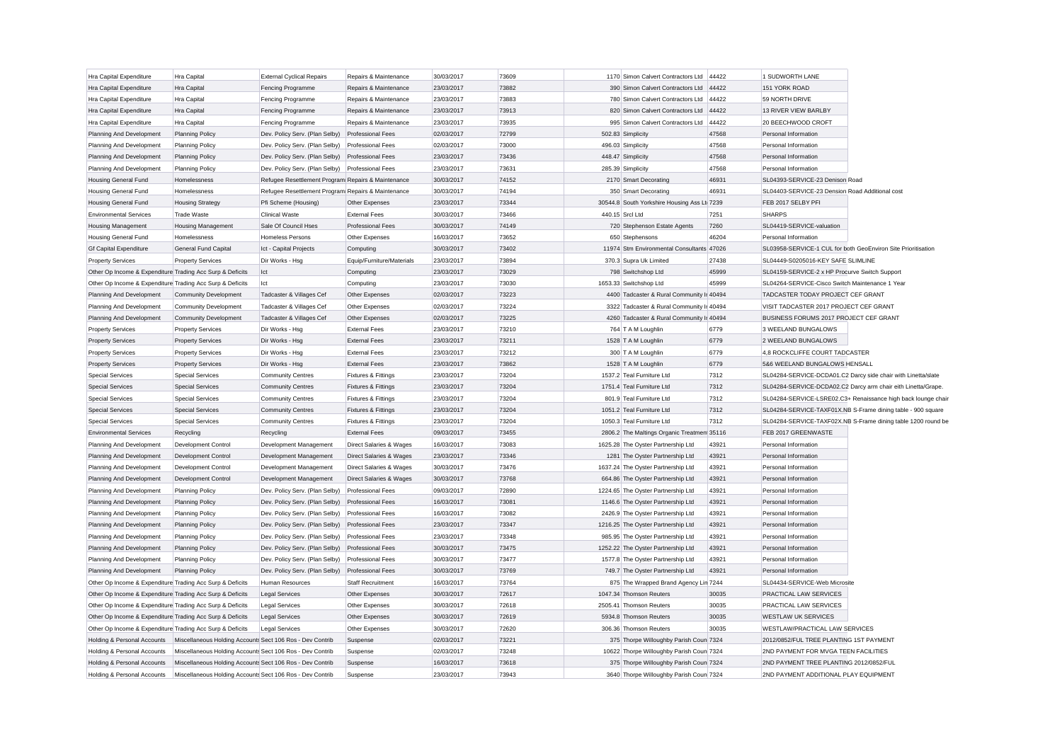| Hra Capital Expenditure                                   | Hra Capital                                               | <b>External Cyclical Repairs</b>                   | Repairs & Maintenance                                         | 30/03/2017               | 73609          | 1170 Simon Calvert Contractors Ltd 44422    |                | 1 SUDWORTH LANE                                 |                                                               |
|-----------------------------------------------------------|-----------------------------------------------------------|----------------------------------------------------|---------------------------------------------------------------|--------------------------|----------------|---------------------------------------------|----------------|-------------------------------------------------|---------------------------------------------------------------|
| Hra Capital Expenditure                                   | Hra Capital                                               | Fencing Programme                                  | Repairs & Maintenance                                         | 23/03/2017               | 73882          | 390 Simon Calvert Contractors Ltd           | 44422          | 151 YORK ROAD                                   |                                                               |
| Hra Capital Expenditure                                   | Hra Capital                                               | Fencing Programme                                  | Repairs & Maintenance                                         | 23/03/2017               | 73883          | 780 Simon Calvert Contractors Ltd           | 44422          | 59 NORTH DRIVE                                  |                                                               |
| Hra Capital Expenditure                                   | Hra Capital                                               | Fencing Programme                                  | Repairs & Maintenance                                         | 23/03/2017               | 73913          | 820 Simon Calvert Contractors Ltd 44422     |                | 13 RIVER VIEW BARLBY                            |                                                               |
| Hra Capital Expenditure                                   | Hra Capital                                               | Fencing Programme                                  | Repairs & Maintenance                                         | 23/03/2017               | 73935          | 995 Simon Calvert Contractors Ltd           | 44422          | 20 BEECHWOOD CROFT                              |                                                               |
| Planning And Development                                  | <b>Planning Policy</b>                                    | Dev. Policy Serv. (Plan Selby)                     | <b>Professional Fees</b>                                      | 02/03/2017               | 72799          | 502.83 Simplicity                           | 47568          | Personal Information                            |                                                               |
| Planning And Development                                  | <b>Planning Policy</b>                                    | Dev. Policy Serv. (Plan Selby)                     | <b>Professional Fees</b>                                      | 02/03/2017               | 73000          | 496.03 Simplicity                           | 47568          | Personal Information                            |                                                               |
| Planning And Development                                  | <b>Planning Policy</b>                                    | Dev. Policy Serv. (Plan Selby)                     | <b>Professional Fees</b>                                      | 23/03/2017               | 73436          | 448.47 Simplicity                           | 47568          | Personal Information                            |                                                               |
| Planning And Development                                  | <b>Planning Policy</b>                                    | Dev. Policy Serv. (Plan Selby)                     | <b>Professional Fees</b>                                      | 23/03/2017               | 73631          | 285.39 Simplicity                           | 47568          | Personal Information                            |                                                               |
| <b>Housing General Fund</b>                               | Homelessness                                              | Refugee Resettlement Program Repairs & Maintenance |                                                               | 30/03/2017               | 74152          | 2170 Smart Decorating                       | 46931          | SL04393-SERVICE-23 Denison Road                 |                                                               |
| <b>Housing General Fund</b>                               | Homelessness                                              | Refugee Resettlement Program Repairs & Maintenance |                                                               | 30/03/2017               | 74194          | 350 Smart Decorating                        | 46931          | SL04403-SERVICE-23 Dension Road Additional cost |                                                               |
| <b>Housing General Fund</b>                               | <b>Housing Strategy</b>                                   | Pfi Scheme (Housing)                               | Other Expenses                                                | 23/03/2017               | 73344          | 30544.8 South Yorkshire Housing Ass Lt 7239 |                | FEB 2017 SELBY PFI                              |                                                               |
| <b>Environmental Services</b>                             | <b>Trade Waste</b>                                        | <b>Clinical Waste</b>                              | <b>External Fees</b>                                          | 30/03/2017               | 73466          | 440.15 Srcl Ltd                             | 7251           | <b>SHARPS</b>                                   |                                                               |
| <b>Housing Management</b>                                 | <b>Housing Management</b>                                 | Sale Of Council Hses                               | <b>Professional Fees</b>                                      | 30/03/2017               | 74149          | 720 Stephenson Estate Agents                | 7260           | SL04419-SERVICE-valuation                       |                                                               |
| <b>Housing General Fund</b>                               | Homelessness                                              | <b>Homeless Persons</b>                            | Other Expenses                                                | 16/03/2017               | 73652          | 650 Stephensons                             | 46204          | Personal Information                            |                                                               |
| <b>Gf Capital Expenditure</b>                             | General Fund Capital                                      | Ict - Capital Projects                             | Computing                                                     | 30/03/2017               | 73402          | 11974 Stm Environmental Consultants 47026   |                |                                                 | SL03958-SERVICE-1 CUL for both GeoEnviron Site Prioritisation |
| <b>Property Services</b>                                  | <b>Property Services</b>                                  | Dir Works - Hsa                                    | Equip/Furniture/Materials                                     | 23/03/2017               | 73894          | 370.3 Supra Uk Limited                      | 27438          | SL04449-S0205016-KEY SAFE SLIMLINE              |                                                               |
| Other Op Income & Expenditure Trading Acc Surp & Deficits |                                                           | Ict                                                | Computing                                                     | 23/03/2017               | 73029          | 798 Switchshop Ltd                          | 45999          | SL04159-SERVICE-2 x HP Procurve Switch Support  |                                                               |
| Other Op Income & Expenditure Trading Acc Surp & Deficits |                                                           | Ict                                                | Computing                                                     | 23/03/2017               | 73030          | 1653.33 Switchshop Ltd                      | 45999          | SL04264-SERVICE-Cisco Switch Maintenance 1 Year |                                                               |
| Planning And Development                                  | <b>Community Development</b>                              | Tadcaster & Villages Cef                           | Other Expenses                                                | 02/03/2017               | 73223          | 4400 Tadcaster & Rural Community Ir 40494   |                | TADCASTER TODAY PROJECT CEF GRANT               |                                                               |
| Planning And Development                                  | <b>Community Development</b>                              | Tadcaster & Villages Cef                           | Other Expenses                                                | 02/03/2017               | 73224          | 3322 Tadcaster & Rural Community Ir 40494   |                | VISIT TADCASTER 2017 PROJECT CEF GRANT          |                                                               |
| Planning And Development                                  | <b>Community Development</b>                              | Tadcaster & Villages Cef                           | Other Expenses                                                | 02/03/2017               | 73225          | 4260 Tadcaster & Rural Community Ir 40494   |                | BUSINESS FORUMS 2017 PROJECT CEF GRANT          |                                                               |
| <b>Property Services</b>                                  | <b>Property Services</b>                                  | Dir Works - Hsg                                    | <b>External Fees</b>                                          | 23/03/2017               | 73210          | 764 T A M Loughlin                          | 6779           | 3 WEELAND BUNGALOWS                             |                                                               |
| <b>Property Services</b>                                  | <b>Property Services</b>                                  | Dir Works - Hsg                                    | <b>External Fees</b>                                          | 23/03/2017               | 73211          | 1528 T A M Loughlin                         | 6779           | 2 WEELAND BUNGALOWS                             |                                                               |
| <b>Property Services</b>                                  | <b>Property Services</b>                                  | Dir Works - Hsg                                    | <b>External Fees</b>                                          | 23/03/2017               | 73212          | 300 T A M Loughlin                          | 6779           | 4.8 ROCKCLIFFE COURT TADCASTER                  |                                                               |
| <b>Property Services</b>                                  | <b>Property Services</b>                                  | Dir Works - Hsg                                    | <b>External Fees</b>                                          | 23/03/2017               | 73862          | 1528 T A M Loughlin                         | 6779           | 5&6 WEELAND BUNGALOWS HENSALL                   |                                                               |
| Special Services                                          | <b>Special Services</b>                                   | <b>Community Centres</b>                           | Fixtures & Fittings                                           | 23/03/2017               | 73204          | 1537.2 Teal Furniture Ltd                   | 7312           |                                                 | SL04284-SERVICE-DCDA01.C2 Darcy side chair with Linetta/slate |
| <b>Special Services</b>                                   | <b>Special Services</b>                                   | <b>Community Centres</b>                           | Fixtures & Fittings                                           | 23/03/2017               | 73204          | 1751.4 Teal Furniture Ltd                   | 7312           |                                                 | SL04284-SERVICE-DCDA02.C2 Darcy arm chair eith Linetta/Grape. |
| <b>Special Services</b>                                   | <b>Special Services</b>                                   | <b>Community Centres</b>                           | Fixtures & Fittings                                           | 23/03/2017               | 73204          | 801.9 Teal Furniture Ltd                    | 7312           |                                                 | SL04284-SERVICE-LSRE02.C3+ Renaissance high back lounge chair |
| <b>Special Services</b>                                   | <b>Special Services</b>                                   | <b>Community Centres</b>                           | Fixtures & Fittings                                           | 23/03/2017               | 73204          | 1051.2 Teal Furniture Ltd                   | 7312           |                                                 | SL04284-SERVICE-TAXF01X.NB S-Frame dining table - 900 square  |
| <b>Special Services</b>                                   | <b>Special Services</b>                                   | <b>Community Centres</b>                           | Fixtures & Fittings                                           | 23/03/2017               | 73204          | 1050.3 Teal Furniture Ltd                   | 7312           |                                                 | SL04284-SERVICE-TAXF02X.NB S-Frame dining table 1200 round be |
| <b>Environmental Services</b>                             | Recycling                                                 | Recycling                                          | <b>External Fees</b>                                          | 09/03/2017               | 73455          | 2806.2 The Maltings Organic Treatmen 35116  |                | FEB 2017 GREENWASTE                             |                                                               |
| Planning And Development                                  | Development Control                                       | Development Management                             | Direct Salaries & Wages                                       | 16/03/2017               | 73083          | 1625.28 The Oyster Partnership Ltd          | 43921          | Personal Information                            |                                                               |
| Planning And Development                                  | Development Control                                       | Development Management                             | Direct Salaries & Wages                                       | 23/03/2017               | 73346          | 1281 The Oyster Partnership Ltd             | 43921          | Personal Information                            |                                                               |
|                                                           | <b>Development Control</b>                                |                                                    |                                                               | 30/03/2017               | 73476          | 1637.24 The Oyster Partnership Ltd          | 43921          | Personal Information                            |                                                               |
| Planning And Development<br>Planning And Development      | Development Control                                       | Development Management<br>Development Management   | Direct Salaries & Wages<br><b>Direct Salaries &amp; Wages</b> | 30/03/2017               | 73768          | 664.86 The Oyster Partnership Ltd           | 43921          | Personal Information                            |                                                               |
|                                                           |                                                           |                                                    |                                                               |                          | 72890          |                                             | 43921          | Personal Information                            |                                                               |
| Planning And Development                                  | <b>Planning Policy</b>                                    | Dev. Policy Serv. (Plan Selby)                     | <b>Professional Fees</b>                                      | 09/03/2017               | 73081          | 1224.65 The Oyster Partnership Ltd          |                | Personal Information                            |                                                               |
| Planning And Development                                  | <b>Planning Policy</b>                                    | Dev. Policy Serv. (Plan Selby)                     | <b>Professional Fees</b>                                      | 16/03/2017               |                | 1146.6 The Oyster Partnership Ltd           | 43921          |                                                 |                                                               |
| Planning And Development                                  | <b>Planning Policy</b>                                    | Dev. Policy Serv. (Plan Selby)                     | <b>Professional Fees</b>                                      | 16/03/2017<br>23/03/2017 | 73082<br>73347 | 2426.9 The Oyster Partnership Ltd           | 43921<br>43921 | Personal Information<br>Personal Information    |                                                               |
| Planning And Development                                  | <b>Planning Policy</b>                                    | Dev. Policy Serv. (Plan Selby)                     | <b>Professional Fees</b>                                      |                          |                | 1216.25 The Oyster Partnership Ltd          |                |                                                 |                                                               |
| Planning And Development                                  | <b>Planning Policy</b>                                    | Dev. Policy Serv. (Plan Selby)                     | <b>Professional Fees</b>                                      | 23/03/2017               | 73348          | 985.95 The Ovster Partnership Ltd           | 43921          | Personal Information                            |                                                               |
| Planning And Development                                  | <b>Planning Policy</b>                                    | Dev. Policy Serv. (Plan Selby)                     | <b>Professional Fees</b>                                      | 30/03/2017               | 73475          | 1252.22 The Oyster Partnership Ltd          | 43921          | Personal Information                            |                                                               |
| Planning And Development                                  | <b>Planning Policy</b>                                    | Dev. Policy Serv. (Plan Selby)                     | <b>Professional Fees</b>                                      | 30/03/2017               | 73477          | 1577.8 The Oyster Partnership Ltd           | 43921          | Personal Information                            |                                                               |
| Planning And Development                                  | <b>Planning Policy</b>                                    | Dev. Policy Serv. (Plan Selby)                     | <b>Professional Fees</b>                                      | 30/03/2017               | 73769          | 749.7 The Oyster Partnership Ltd            | 43921          | Personal Information                            |                                                               |
| Other Op Income & Expenditure Trading Acc Surp & Deficits |                                                           | Human Resources                                    | Staff Recruitment                                             | 16/03/2017               | 73764          | 875 The Wrapped Brand Agency Lin 7244       |                | SL04434-SERVICE-Web Microsite                   |                                                               |
| Other Op Income & Expenditure Trading Acc Surp & Deficits |                                                           | <b>Legal Services</b>                              | Other Expenses                                                | 30/03/2017               | 72617          | 1047.34 Thomson Reuters                     | 30035          | PRACTICAL LAW SERVICES                          |                                                               |
| Other Op Income & Expenditure Trading Acc Surp & Deficits |                                                           | Legal Services                                     | Other Expenses                                                | 30/03/2017               | 72618          | 2505.41 Thomson Reuters                     | 30035          | PRACTICAL LAW SERVICES                          |                                                               |
| Other Op Income & Expenditure Trading Acc Surp & Deficits |                                                           | <b>Legal Services</b>                              | Other Expenses                                                | 30/03/2017               | 72619          | 5934.8 Thomson Reuters                      | 30035          | <b>WESTLAW UK SERVICES</b>                      |                                                               |
| Other Op Income & Expenditure Trading Acc Surp & Deficits |                                                           | <b>Legal Services</b>                              | Other Expenses                                                | 30/03/2017               | 72620          | 306.36 Thomson Reuters                      | 30035          | WESTLAW/PRACTICAL LAW SERVICES                  |                                                               |
| Holding & Personal Accounts                               | Miscellaneous Holding Accounts Sect 106 Ros - Dev Contrib |                                                    | Suspense                                                      | 02/03/2017               | 73221          | 375 Thorpe Willoughby Parish Coun 7324      |                | 2012/0852/FUL TREE PLANTING 1ST PAYMENT         |                                                               |
| Holding & Personal Accounts                               | Miscellaneous Holding Accounts Sect 106 Ros - Dev Contrib |                                                    | Suspense                                                      | 02/03/2017               | 73248          | 10622 Thorpe Willoughby Parish Coun 7324    |                | 2ND PAYMENT FOR MVGA TEEN FACILITIES            |                                                               |
| Holding & Personal Accounts                               | Miscellaneous Holding Accounts Sect 106 Ros - Dev Contrib |                                                    | Suspense                                                      | 16/03/2017               | 73618          | 375 Thorpe Willoughby Parish Coun 7324      |                | 2ND PAYMENT TREE PLANTING 2012/0852/FUL         |                                                               |
| Holding & Personal Accounts                               | Miscellaneous Holding Accounts Sect 106 Ros - Dev Contrib |                                                    | Suspense                                                      | 23/03/2017               | 73943          | 3640 Thorpe Willoughby Parish Coun 7324     |                | 2ND PAYMENT ADDITIONAL PLAY EQUIPMENT           |                                                               |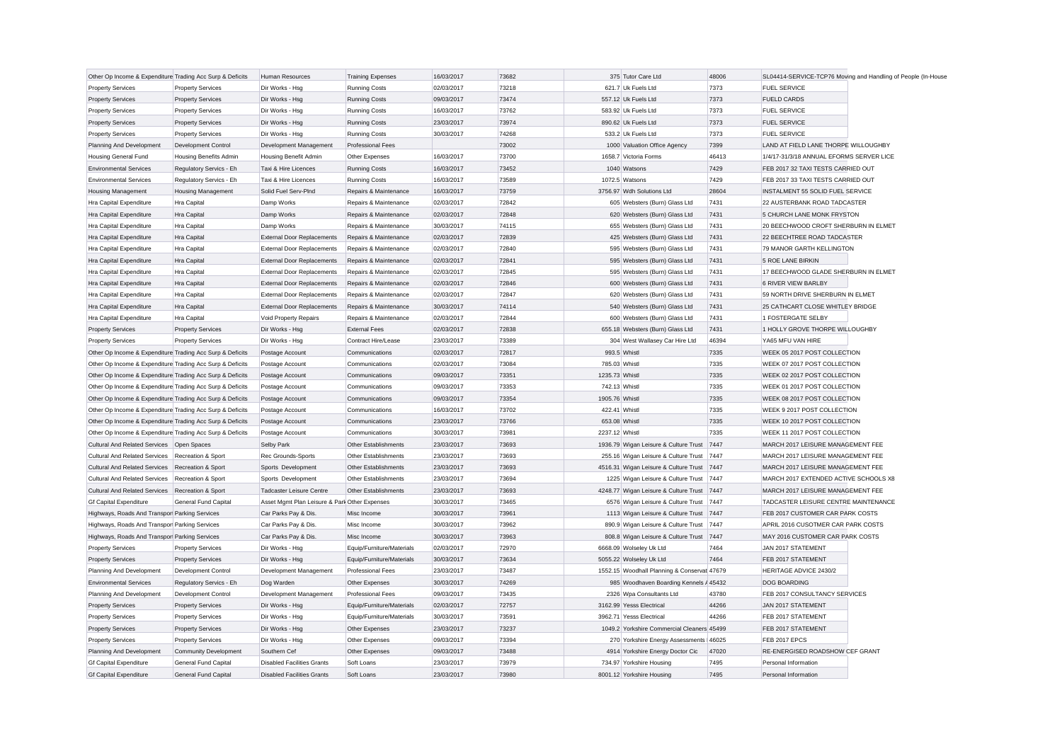| Other Op Income & Expenditure Trading Acc Surp & Deficits |                               | <b>Human Resources</b>                        | <b>Training Expenses</b>    | 16/03/2017 | 73682 | 375 Tutor Care Ltd                          | 48006 |                                          | SL04414-SERVICE-TCP76 Moving and Handling of People (In-House |
|-----------------------------------------------------------|-------------------------------|-----------------------------------------------|-----------------------------|------------|-------|---------------------------------------------|-------|------------------------------------------|---------------------------------------------------------------|
| <b>Property Services</b>                                  | <b>Property Services</b>      | Dir Works - Hsg                               | <b>Running Costs</b>        | 02/03/2017 | 73218 | 621.7 Uk Fuels Ltd                          | 7373  | <b>FUEL SERVICE</b>                      |                                                               |
| <b>Property Services</b>                                  | <b>Property Services</b>      | Dir Works - Hsg                               | <b>Running Costs</b>        | 09/03/2017 | 73474 | 557.12 Uk Fuels Ltd                         | 7373  | <b>FUELD CARDS</b>                       |                                                               |
| <b>Property Services</b>                                  | <b>Property Services</b>      | Dir Works - Hsg                               | <b>Running Costs</b>        | 16/03/2017 | 73762 | 583.92 Uk Fuels Ltd                         | 7373  | <b>FUEL SERVICE</b>                      |                                                               |
| <b>Property Services</b>                                  | <b>Property Services</b>      | Dir Works - Hsg                               | <b>Running Costs</b>        | 23/03/2017 | 73974 | 890.62 Uk Fuels Ltd                         | 7373  | <b>FUEL SERVICE</b>                      |                                                               |
| <b>Property Services</b>                                  | <b>Property Services</b>      | Dir Works - Hsg                               | <b>Running Costs</b>        | 30/03/2017 | 74268 | 533.2 Uk Fuels Ltd                          | 7373  | <b>FUEL SERVICE</b>                      |                                                               |
| Planning And Development                                  | Development Control           | Development Management                        | <b>Professional Fees</b>    |            | 73002 | 1000 Valuation Office Agency                | 7399  | LAND AT FIELD LANE THORPE WILLOUGHBY     |                                                               |
| <b>Housing General Fund</b>                               | <b>Housing Benefits Admin</b> | <b>Housing Benefit Admin</b>                  | Other Expenses              | 16/03/2017 | 73700 | 1658.7 Victoria Forms                       | 46413 | 1/4/17-31/3/18 ANNUAL EFORMS SERVER LICE |                                                               |
| <b>Environmental Services</b>                             | Regulatory Servics - Eh       | Taxi & Hire Licences                          | <b>Running Costs</b>        | 16/03/2017 | 73452 | 1040 Watsons                                | 7429  | FEB 2017 32 TAXI TESTS CARRIED OUT       |                                                               |
| <b>Environmental Services</b>                             | Regulatory Servics - Eh       | Taxi & Hire Licences                          | <b>Running Costs</b>        | 16/03/2017 | 73589 | 1072.5 Watsons                              | 7429  | FEB 2017 33 TAXI TESTS CARRIED OUT       |                                                               |
| <b>Housing Management</b>                                 | <b>Housing Management</b>     | Solid Fuel Serv-PInd                          | Repairs & Maintenance       | 16/03/2017 | 73759 | 3756.97 Wdh Solutions Ltd                   | 28604 | INSTALMENT 55 SOLID FUEL SERVICE         |                                                               |
| Hra Capital Expenditure                                   | Hra Capital                   | Damp Works                                    | Repairs & Maintenance       | 02/03/2017 | 72842 | 605 Websters (Burn) Glass Ltd               | 7431  | 22 AUSTERBANK ROAD TADCASTER             |                                                               |
| Hra Capital Expenditure                                   | Hra Capital                   | Damp Works                                    | Repairs & Maintenance       | 02/03/2017 | 72848 | 620 Websters (Burn) Glass Ltd               | 7431  | 5 CHURCH LANE MONK FRYSTON               |                                                               |
| Hra Capital Expenditure                                   | Hra Capital                   | Damp Works                                    | Repairs & Maintenance       | 30/03/2017 | 74115 | 655 Websters (Burn) Glass Ltd               | 7431  | 20 BEECHWOOD CROFT SHERBURN IN ELMET     |                                                               |
| Hra Capital Expenditure                                   | Hra Capital                   | <b>External Door Replacements</b>             | Repairs & Maintenance       | 02/03/2017 | 72839 | 425 Websters (Burn) Glass Ltd               | 7431  | 22 BEECHTREE ROAD TADCASTER              |                                                               |
| Hra Capital Expenditure                                   | Hra Capital                   | <b>External Door Replacements</b>             | Repairs & Maintenance       | 02/03/2017 | 72840 | 595 Websters (Burn) Glass Ltd               | 7431  | 79 MANOR GARTH KELLINGTON                |                                                               |
| Hra Capital Expenditure                                   | Hra Capital                   | <b>External Door Replacements</b>             | Repairs & Maintenance       | 02/03/2017 | 72841 | 595 Websters (Burn) Glass Ltd               | 7431  | 5 ROE LANE BIRKIN                        |                                                               |
| Hra Capital Expenditure                                   | Hra Capital                   | <b>External Door Replacements</b>             | Repairs & Maintenance       | 02/03/2017 | 72845 | 595 Websters (Burn) Glass Ltd               | 7431  | 17 BEECHWOOD GLADE SHERBURN IN ELMET     |                                                               |
| Hra Capital Expenditure                                   | Hra Capital                   | <b>External Door Replacements</b>             | Repairs & Maintenance       | 02/03/2017 | 72846 | 600 Websters (Burn) Glass Ltd               | 7431  | <b>6 RIVER VIEW BARLBY</b>               |                                                               |
| Hra Capital Expenditure                                   | Hra Capital                   | <b>External Door Replacements</b>             | Repairs & Maintenance       | 02/03/2017 | 72847 | 620 Websters (Burn) Glass Ltd               | 7431  | 59 NORTH DRIVE SHERBURN IN ELMET         |                                                               |
| Hra Capital Expenditure                                   | Hra Capital                   | <b>External Door Replacements</b>             | Repairs & Maintenance       | 30/03/2017 | 74114 | 540 Websters (Burn) Glass Ltd               | 7431  | 25 CATHCART CLOSE WHITLEY BRIDGE         |                                                               |
| Hra Capital Expenditure                                   | Hra Capital                   | Void Property Repairs                         | Repairs & Maintenance       | 02/03/2017 | 72844 | 600 Websters (Burn) Glass Ltd               | 7431  | 1 FOSTERGATE SELBY                       |                                                               |
| <b>Property Services</b>                                  | <b>Property Services</b>      | Dir Works - Hsg                               | <b>External Fees</b>        | 02/03/2017 | 72838 | 655.18 Websters (Burn) Glass Ltd            | 7431  | 1 HOLLY GROVE THORPE WILLOUGHBY          |                                                               |
| <b>Property Services</b>                                  | <b>Property Services</b>      | Dir Works - Hsg                               | Contract Hire/Lease         | 23/03/2017 | 73389 | 304 West Wallasey Car Hire Ltd              | 46394 | YA65 MFU VAN HIRE                        |                                                               |
| Other Op Income & Expenditure Trading Acc Surp & Deficits |                               | Postage Account                               | Communications              | 02/03/2017 | 72817 | 993.5 Whistl                                | 7335  | WEEK 05 2017 POST COLLECTION             |                                                               |
| Other Op Income & Expenditure Trading Acc Surp & Deficits |                               | Postage Account                               | Communications              | 02/03/2017 | 73084 | 785.03 Whistl                               | 7335  | WEEK 07 2017 POST COLLECTION             |                                                               |
| Other Op Income & Expenditure Trading Acc Surp & Deficits |                               | Postage Account                               | Communications              | 09/03/2017 | 73351 | 1235.73 Whistl                              | 7335  | WEEK 02 2017 POST COLLECTION             |                                                               |
| Other Op Income & Expenditure Trading Acc Surp & Deficits |                               | Postage Account                               | Communications              | 09/03/2017 | 73353 | 742.13 Whistl                               | 7335  | WEEK 01 2017 POST COLLECTION             |                                                               |
| Other Op Income & Expenditure Trading Acc Surp & Deficits |                               | Postage Account                               | Communications              | 09/03/2017 | 73354 | 1905.76 Whistl                              | 7335  | WEEK 08 2017 POST COLLECTION             |                                                               |
| Other Op Income & Expenditure Trading Acc Surp & Deficits |                               | Postage Account                               | Communications              | 16/03/2017 | 73702 | 422.41 Whistl                               | 7335  | WEEK 9 2017 POST COLLECTION              |                                                               |
| Other Op Income & Expenditure Trading Acc Surp & Deficits |                               | Postage Account                               | Communications              | 23/03/2017 | 73766 | 653.08 Whistl                               | 7335  | WEEK 10 2017 POST COLLECTION             |                                                               |
|                                                           |                               |                                               |                             |            |       |                                             |       |                                          |                                                               |
| Other Op Income & Expenditure Trading Acc Surp & Deficits |                               | Postage Account                               | Communications              | 30/03/2017 | 73981 | 2237.12 Whistl                              | 7335  | WEEK 11 2017 POST COLLECTION             |                                                               |
| Cultural And Related Services Open Spaces                 |                               | Selby Park                                    | <b>Other Establishments</b> | 23/03/2017 | 73693 | 1936.79 Wigan Leisure & Culture Trust 7447  |       | MARCH 2017 LEISURE MANAGEMENT FEE        |                                                               |
| Cultural And Related Services Recreation & Sport          |                               | Rec Grounds-Sports                            | Other Establishments        | 23/03/2017 | 73693 | 255.16 Wigan Leisure & Culture Trust 7447   |       | MARCH 2017 LEISURE MANAGEMENT FEE        |                                                               |
| <b>Cultural And Related Services</b>                      | Recreation & Sport            | Sports Development                            | <b>Other Establishments</b> | 23/03/2017 | 73693 | 4516.31 Wigan Leisure & Culture Trust 7447  |       | MARCH 2017 LEISURE MANAGEMENT FEE        |                                                               |
| <b>Cultural And Related Services</b>                      | Recreation & Sport            | Sports Development                            | <b>Other Establishments</b> | 23/03/2017 | 73694 | 1225 Wigan Leisure & Culture Trust 7447     |       | MARCH 2017 EXTENDED ACTIVE SCHOOLS X8    |                                                               |
| Cultural And Related Services Recreation & Sport          |                               | <b>Tadcaster Leisure Centre</b>               | <b>Other Establishments</b> | 23/03/2017 | 73693 | 4248.77 Wigan Leisure & Culture Trust 7447  |       | MARCH 2017 LEISURE MANAGEMENT FEE        |                                                               |
| <b>Gf Capital Expenditure</b>                             | <b>General Fund Capital</b>   | Asset Mgmt Plan Leisure & Park Other Expenses |                             | 30/03/2017 | 73465 | 6576 Wigan Leisure & Culture Trust 7447     |       | TADCASTER LEISURE CENTRE MAINTENANCE     |                                                               |
| Highways, Roads And Transpor Parking Services             |                               | Car Parks Pay & Dis.                          | Misc Income                 | 30/03/2017 | 73961 | 1113 Wigan Leisure & Culture Trust 7447     |       | FEB 2017 CUSTOMER CAR PARK COSTS         |                                                               |
| Highways, Roads And Transpor Parking Services             |                               | Car Parks Pay & Dis                           | Misc Income                 | 30/03/2017 | 73962 | 890.9 Wigan Leisure & Culture Trust 7447    |       | APRIL 2016 CUSOTMER CAR PARK COSTS       |                                                               |
| Highways, Roads And Transpor Parking Services             |                               | Car Parks Pay & Dis                           | Misc Income                 | 30/03/2017 | 73963 | 808.8 Wigan Leisure & Culture Trust 7447    |       | MAY 2016 CUSTOMER CAR PARK COSTS         |                                                               |
| <b>Property Services</b>                                  | <b>Property Services</b>      | Dir Works - Hsg                               | Equip/Furniture/Materials   | 02/03/2017 | 72970 | 6668.09 Wolseley Uk Ltd                     | 7464  | JAN 2017 STATEMENT                       |                                                               |
| <b>Property Services</b>                                  | <b>Property Services</b>      | Dir Works - Hsg                               | Equip/Furniture/Materials   | 30/03/2017 | 73634 | 5055.22 Wolseley Uk Ltd                     | 7464  | FEB 2017 STATEMENT                       |                                                               |
| Planning And Development                                  | Development Control           | Development Management                        | <b>Professional Fees</b>    | 23/03/2017 | 73487 | 1552.15 Woodhall Planning & Conservat 47679 |       | HERITAGE ADVICE 2430/2                   |                                                               |
| <b>Environmental Services</b>                             | Regulatory Servics - Eh       | Dog Warden                                    | Other Expenses              | 30/03/2017 | 74269 | 985 Woodhaven Boarding Kennels / 45432      |       | <b>DOG BOARDING</b>                      |                                                               |
| Planning And Development                                  | Development Control           | Development Management                        | <b>Professional Fees</b>    | 09/03/2017 | 73435 | 2326 Wpa Consultants Ltd                    | 43780 | FEB 2017 CONSULTANCY SERVICES            |                                                               |
| <b>Property Services</b>                                  | <b>Property Services</b>      | Dir Works - Hsg                               | Equip/Furniture/Materials   | 02/03/2017 | 72757 | 3162.99 Yesss Electrical                    | 44266 | JAN 2017 STATEMENT                       |                                                               |
| <b>Property Services</b>                                  | <b>Property Services</b>      | Dir Works - Hsg                               | Equip/Furniture/Materials   | 30/03/2017 | 73591 | 3962.71 Yesss Electrical                    | 44266 | FEB 2017 STATEMENT                       |                                                               |
| <b>Property Services</b>                                  | <b>Property Services</b>      | Dir Works - Hsg                               | Other Expenses              | 23/03/2017 | 73237 | 1049.2 Yorkshire Commercial Cleaners 45499  |       | FEB 2017 STATEMENT                       |                                                               |
| <b>Property Services</b>                                  | <b>Property Services</b>      | Dir Works - Hsg                               | Other Expenses              | 09/03/2017 | 73394 | 270 Yorkshire Energy Assessments   46025    |       | FEB 2017 EPCS                            |                                                               |
| Planning And Development                                  | <b>Community Development</b>  | Southern Cef                                  | Other Expenses              | 09/03/2017 | 73488 | 4914 Yorkshire Energy Doctor Cic            | 47020 | RE-ENERGISED ROADSHOW CEF GRANT          |                                                               |
| <b>Gf Capital Expenditure</b>                             | General Fund Capital          | <b>Disabled Facilities Grants</b>             | Soft Loans                  | 23/03/2017 | 73979 | 734.97 Yorkshire Housing                    | 7495  | Personal Information                     |                                                               |
| <b>Gf Capital Expenditure</b>                             | <b>General Fund Capital</b>   | <b>Disabled Facilities Grants</b>             | Soft Loans                  | 23/03/2017 | 73980 | 8001.12 Yorkshire Housing                   | 7495  | Personal Information                     |                                                               |